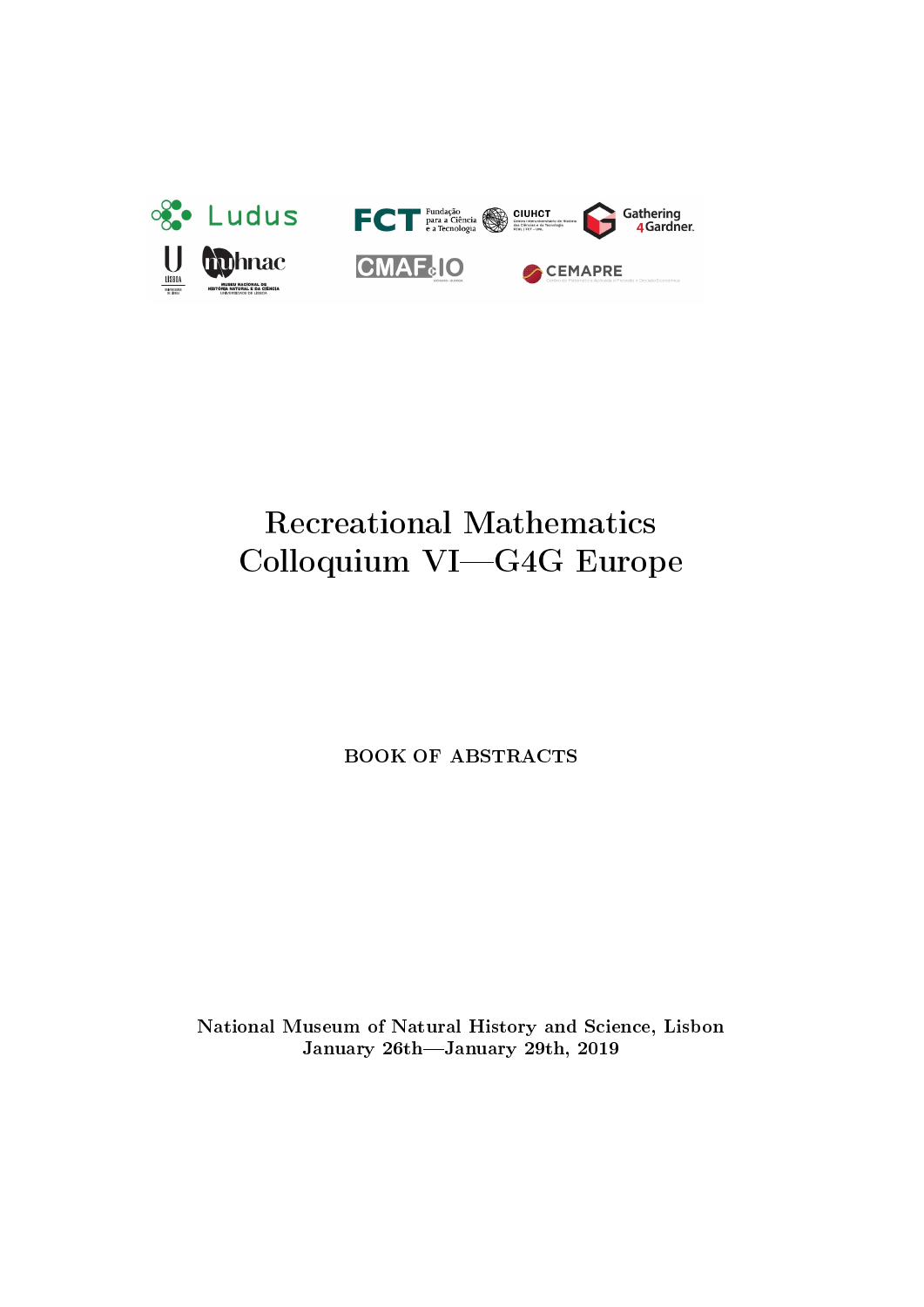

# Recreational Mathematics Colloquium VI-G4G Europe

BOOK OF ABSTRACTS

National Museum of Natural History and Science, Lisbon January 26th-January 29th, 2019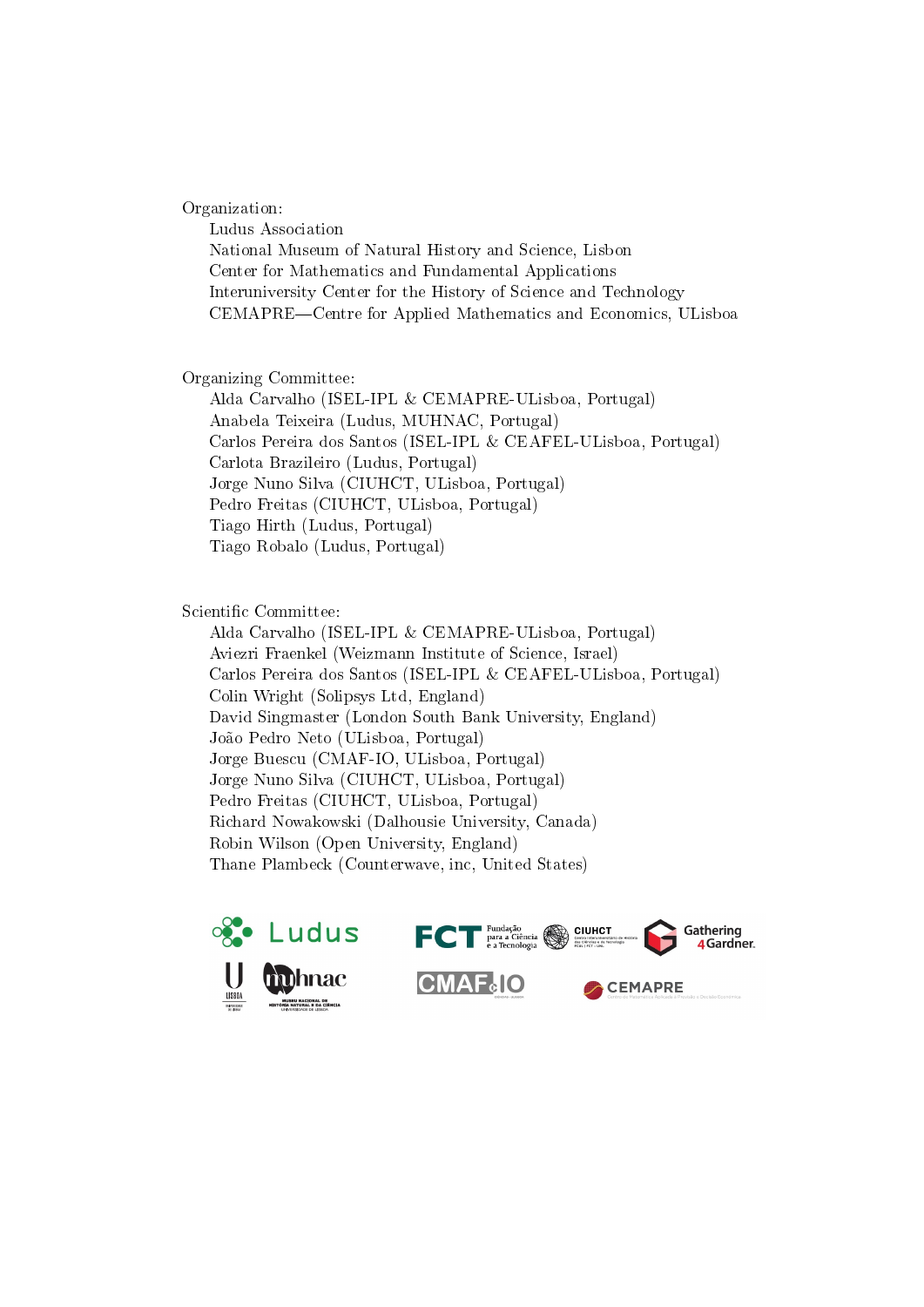Organization:

Ludus Association National Museum of Natural History and Science, Lisbon Center for Mathematics and Fundamental Applications Interuniversity Center for the History of Science and Technology CEMAPRE—Centre for Applied Mathematics and Economics, ULisboa

Organizing Committee:

Alda Carvalho (ISEL-IPL & CEMAPRE-ULisboa, Portugal) Anabela Teixeira (Ludus, MUHNAC, Portugal) Carlos Pereira dos Santos (ISEL-IPL & CEAFEL-ULisboa, Portugal) Carlota Brazileiro (Ludus, Portugal) Jorge Nuno Silva (CIUHCT, ULisboa, Portugal) Pedro Freitas (CIUHCT, ULisboa, Portugal) Tiago Hirth (Ludus, Portugal) Tiago Robalo (Ludus, Portugal)

Scientific Committee:

Alda Carvalho (ISEL-IPL & CEMAPRE-ULisboa, Portugal) Aviezri Fraenkel (Weizmann Institute of Science, Israel) Carlos Pereira dos Santos (ISEL-IPL & CEAFEL-ULisboa, Portugal) Colin Wright (Solipsys Ltd, England) David Singmaster (London South Bank University, England) João Pedro Neto (ULisboa, Portugal) Jorge Buescu (CMAF-IO, ULisboa, Portugal) Jorge Nuno Silva (CIUHCT, ULisboa, Portugal) Pedro Freitas (CIUHCT, ULisboa, Portugal) Richard Nowakowski (Dalhousie University, Canada) Robin Wilson (Open University, England) Thane Plambeck (Counterwave, inc, United States)

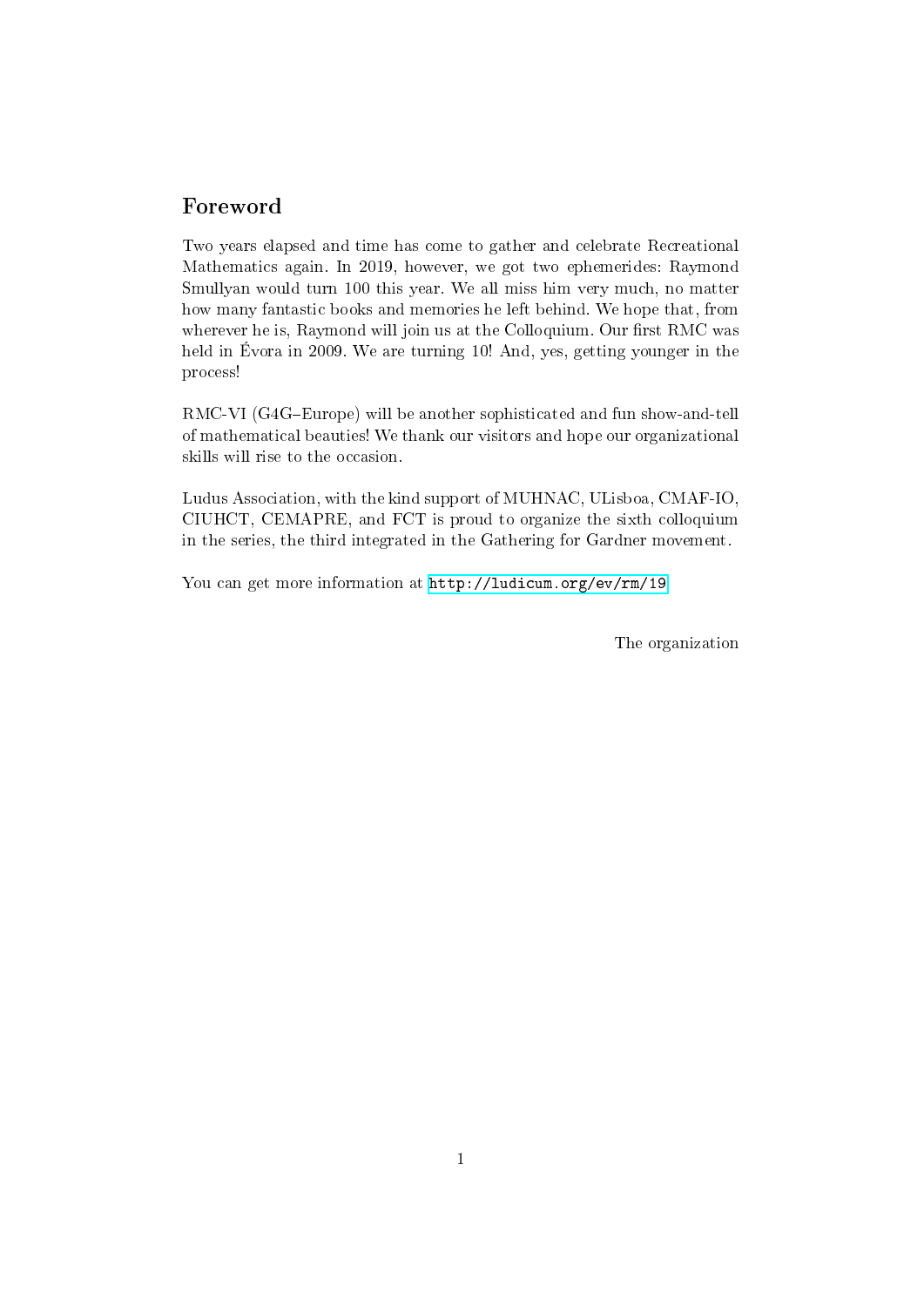# Foreword

Two years elapsed and time has come to gather and celebrate Recreational Mathematics again. In 2019, however, we got two ephemerides: Raymond Smullyan would turn 100 this year. We all miss him very much, no matter how many fantastic books and memories he left behind. We hope that, from wherever he is, Raymond will join us at the Colloquium. Our first RMC was held in Évora in 2009. We are turning 10! And, yes, getting younger in the process!

RMC-VI (G4G-Europe) will be another sophisticated and fun show-and-tell of mathematical beauties! We thank our visitors and hope our organizational skills will rise to the occasion.

Ludus Association, with the kind support of MUHNAC, ULisboa, CMAF-IO, CIUHCT, CEMAPRE, and FCT is proud to organize the sixth colloquium in the series, the third integrated in the Gathering for Gardner movement.

You can get more information at <http://ludicum.org/ev/rm/19>

The organization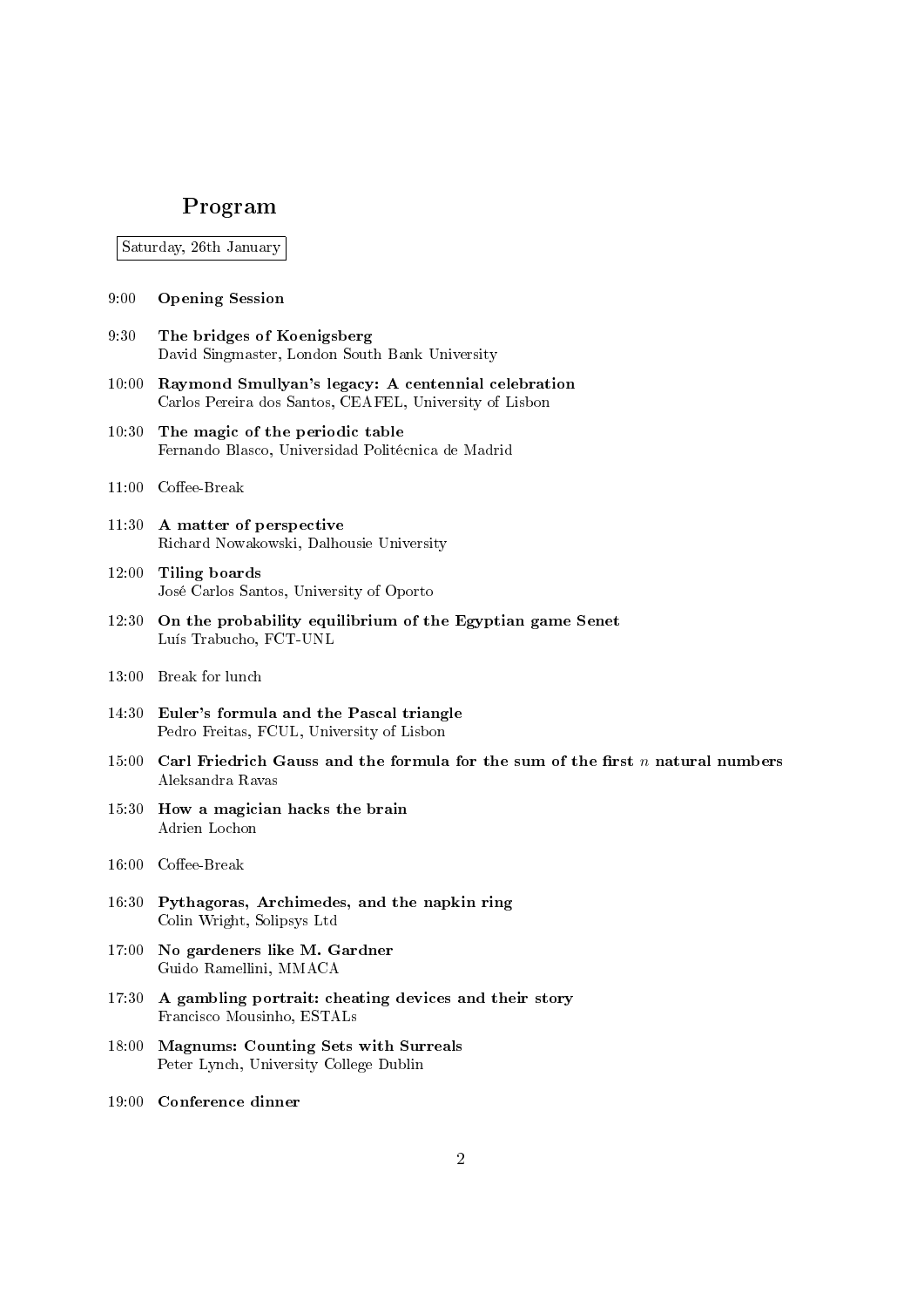# Program

Saturday, 26th January

- 9:00 Opening Session
- 9:30 The bridges of Koenigsberg David Singmaster, London South Bank University
- 10:00 Raymond Smullyan's legacy: A centennial celebration Carlos Pereira dos Santos, CEAFEL, University of Lisbon
- 10:30 The magic of the periodic table Fernando Blasco, Universidad Politécnica de Madrid
- $11:00$  Coffee-Break
- 11:30 A matter of perspective Richard Nowakowski, Dalhousie University
- 12:00 Tiling boards José Carlos Santos, University of Oporto
- 12:30 On the probability equilibrium of the Egyptian game Senet Luís Trabucho, FCT-UNL
- 13:00 Break for lunch
- 14:30 Euler's formula and the Pascal triangle Pedro Freitas, FCUL, University of Lisbon
- 15:00 Carl Friedrich Gauss and the formula for the sum of the first n natural numbers Aleksandra Ravas
- 15:30 How a magician hacks the brain Adrien Lochon
- $16:00$  Coffee-Break
- 16:30 Pythagoras, Archimedes, and the napkin ring Colin Wright, Solipsys Ltd
- 17:00 No gardeners like M. Gardner Guido Ramellini, MMACA
- 17:30 A gambling portrait: cheating devices and their story Francisco Mousinho, ESTALs
- 18:00 Magnums: Counting Sets with Surreals Peter Lynch, University College Dublin
- 19:00 Conference dinner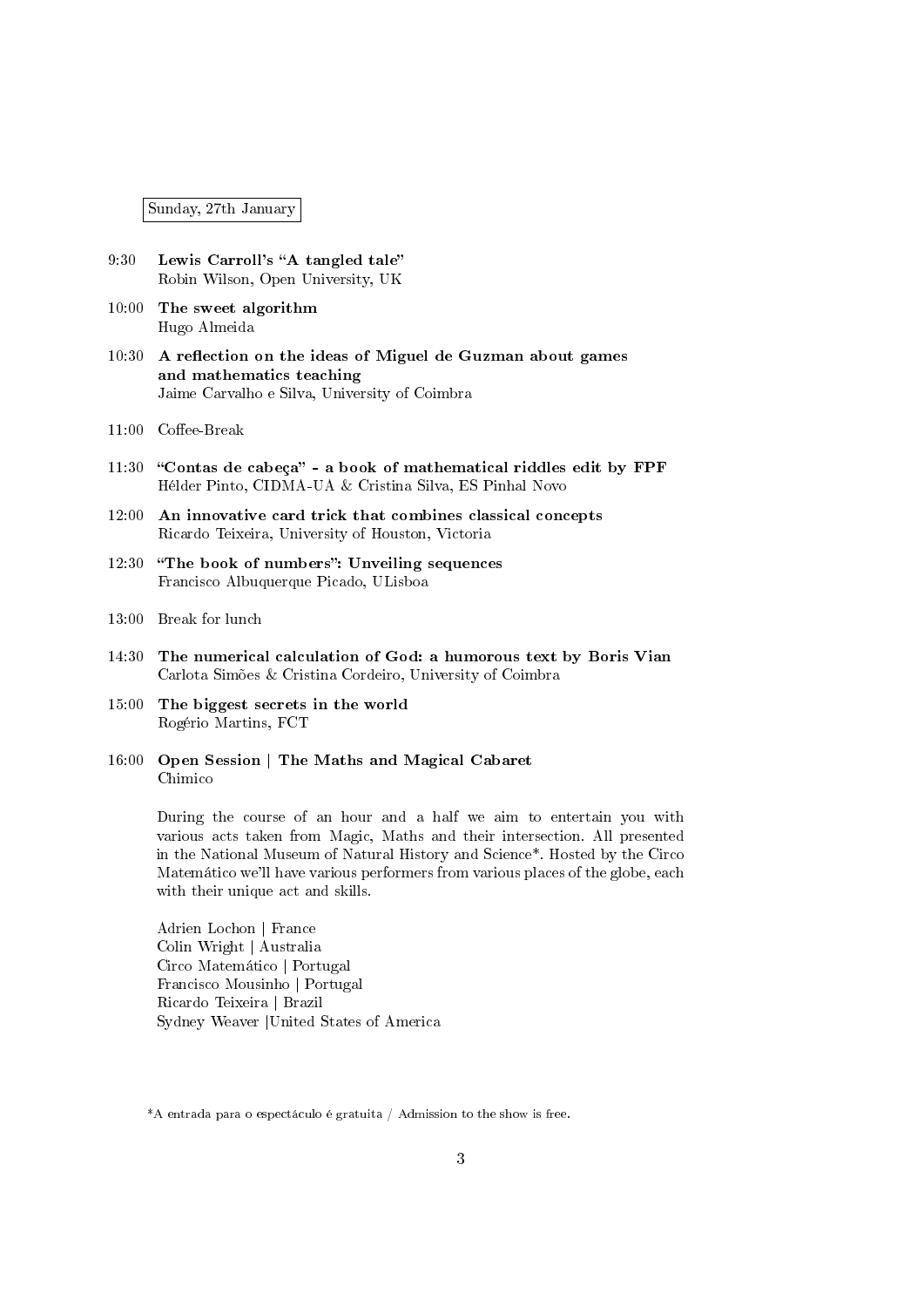Sunday, 27th January

- 9:30 Lewis Carroll's "A tangled tale" Robin Wilson, Open University, UK
- 10:00 The sweet algorithm Hugo Almeida
- 10:30 A reflection on the ideas of Miguel de Guzman about games and mathematics teaching Jaime Carvalho e Silva, University of Coimbra
- $11:00$  Coffee-Break
- $11:30$  "Contas de cabeça" a book of mathematical riddles edit by  $\text{FPF}$ Hélder Pinto, CIDMA-UA & Cristina Silva, ES Pinhal Novo
- 12:00 An innovative card trick that combines classical concepts Ricardo Teixeira, University of Houston, Victoria
- 12:30 "The book of numbers": Unveiling sequences Francisco Albuquerque Picado, ULisboa
- 13:00 Break for lunch
- 14:30 The numerical calculation of God: a humorous text by Boris Vian Carlota Simões & Cristina Cordeiro, University of Coimbra
- 15:00 The biggest secrets in the world Rogério Martins, FCT
- 16:00 Open Session | The Maths and Magical Cabaret Chimico

During the course of an hour and a half we aim to entertain you with various acts taken from Magic, Maths and their intersection. All presented in the National Museum of Natural History and Science\*. Hosted by the Circo Matemático we'll have various performers from various places of the globe, each with their unique act and skills.

Adrien Lochon | France Colin Wright | Australia Circo Matemático | Portugal Francisco Mousinho | Portugal Ricardo Teixeira | Brazil Sydney Weaver |United States of America

<sup>\*</sup>A entrada para o espectáculo é gratuita / Admission to the show is free.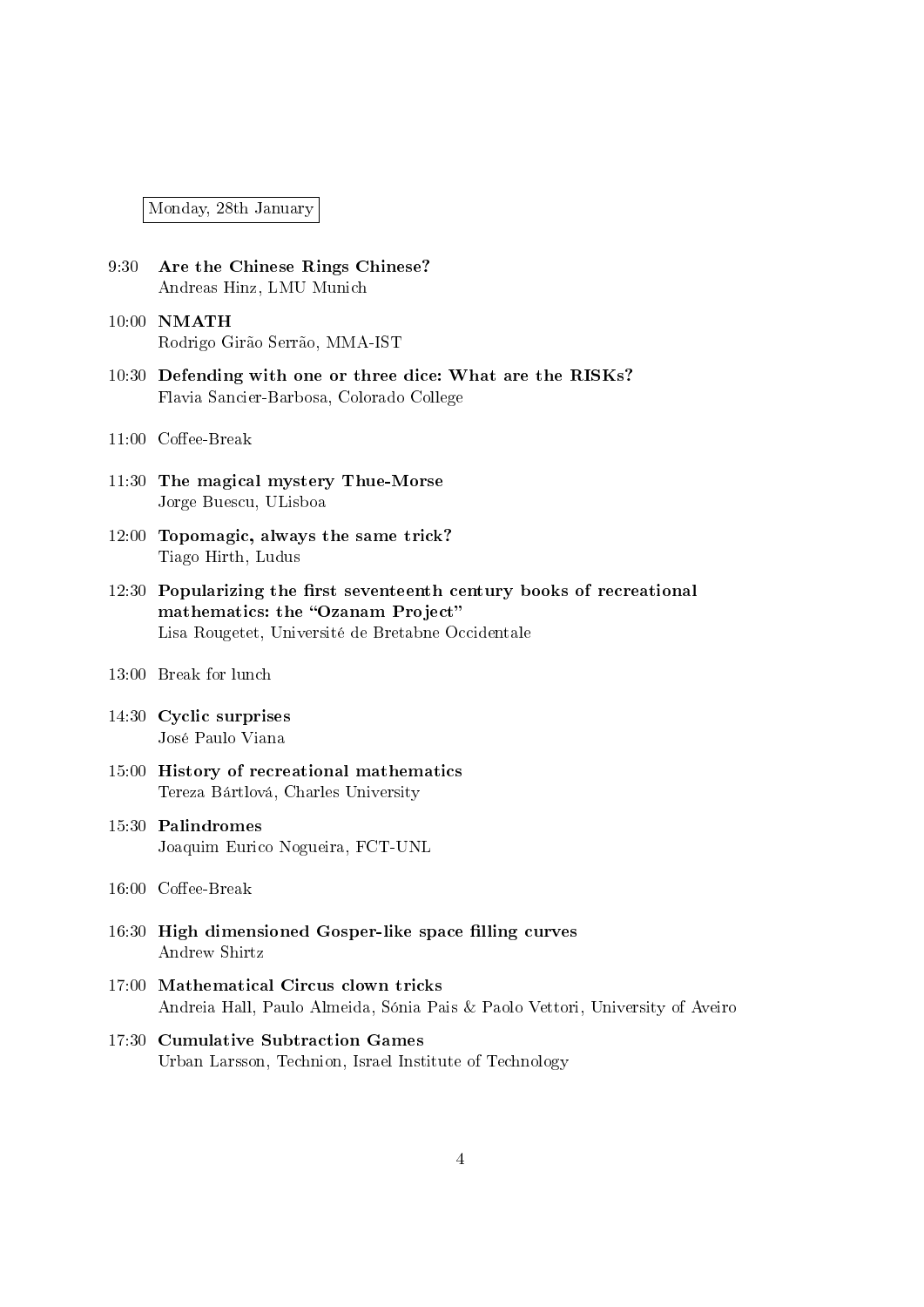Monday, 28th January

- 9:30 Are the Chinese Rings Chinese? Andreas Hinz, LMU Munich
- 10:00 NMATH Rodrigo Girão Serrão, MMA-IST
- 10:30 Defending with one or three dice: What are the RISKs? Flavia Sancier-Barbosa, Colorado College
- $11:00$  Coffee-Break
- 11:30 The magical mystery Thue-Morse Jorge Buescu, ULisboa
- 12:00 Topomagic, always the same trick? Tiago Hirth, Ludus
- $12:30$  Popularizing the first seventeenth century books of recreational mathematics: the "Ozanam Project" Lisa Rougetet, Université de Bretabne Occidentale
- 13:00 Break for lunch
- 14:30 Cyclic surprises José Paulo Viana
- 15:00 History of recreational mathematics Tereza Bártlová, Charles University
- 15:30 Palindromes Joaquim Eurico Nogueira, FCT-UNL
- $16:00$  Coffee-Break
- 16:30 High dimensioned Gosper-like space filling curves Andrew Shirtz
- 17:00 Mathematical Circus clown tricks Andreia Hall, Paulo Almeida, Sónia Pais & Paolo Vettori, University of Aveiro
- 17:30 Cumulative Subtraction Games Urban Larsson, Technion, Israel Institute of Technology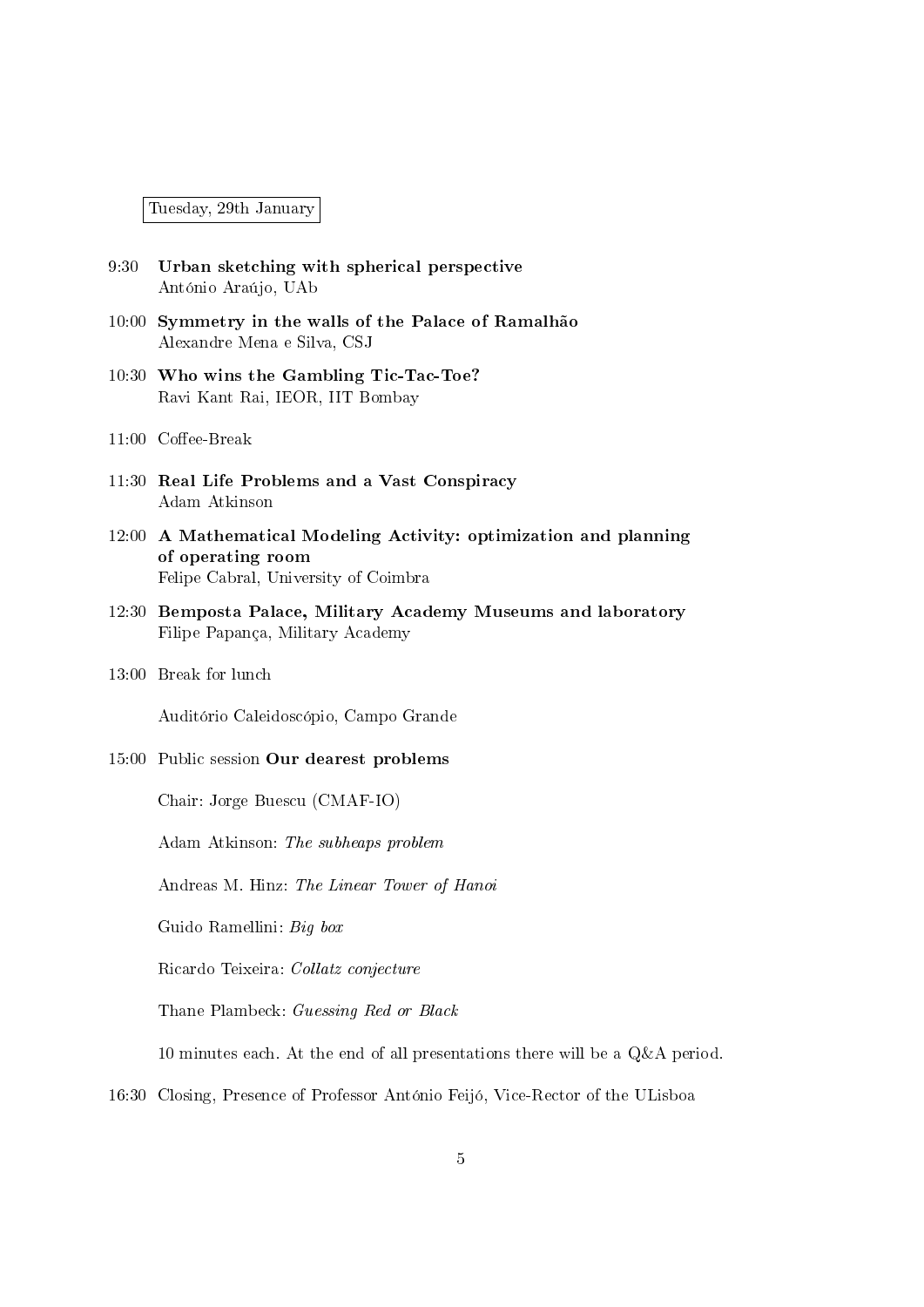Tuesday, 29th January

- 9:30 Urban sketching with spherical perspective António Araújo, UAb
- 10:00 Symmetry in the walls of the Palace of Ramalhão Alexandre Mena e Silva, CSJ
- 10:30 Who wins the Gambling Tic-Tac-Toe? Ravi Kant Rai, IEOR, IIT Bombay
- $11:00$  Coffee-Break
- 11:30 Real Life Problems and a Vast Conspiracy Adam Atkinson
- 12:00 A Mathematical Modeling Activity: optimization and planning of operating room Felipe Cabral, University of Coimbra
- 12:30 Bemposta Palace, Military Academy Museums and laboratory Filipe Papança, Military Academy
- 13:00 Break for lunch

Auditório Caleidoscópio, Campo Grande

15:00 Public session Our dearest problems

Chair: Jorge Buescu (CMAF-IO)

Adam Atkinson: The subheaps problem

Andreas M. Hinz: The Linear Tower of Hanoi

Guido Ramellini: Big box

Ricardo Teixeira: Collatz conjecture

Thane Plambeck: Guessing Red or Black

10 minutes each. At the end of all presentations there will be a Q&A period.

16:30 Closing, Presence of Professor António Feijó, Vice-Rector of the ULisboa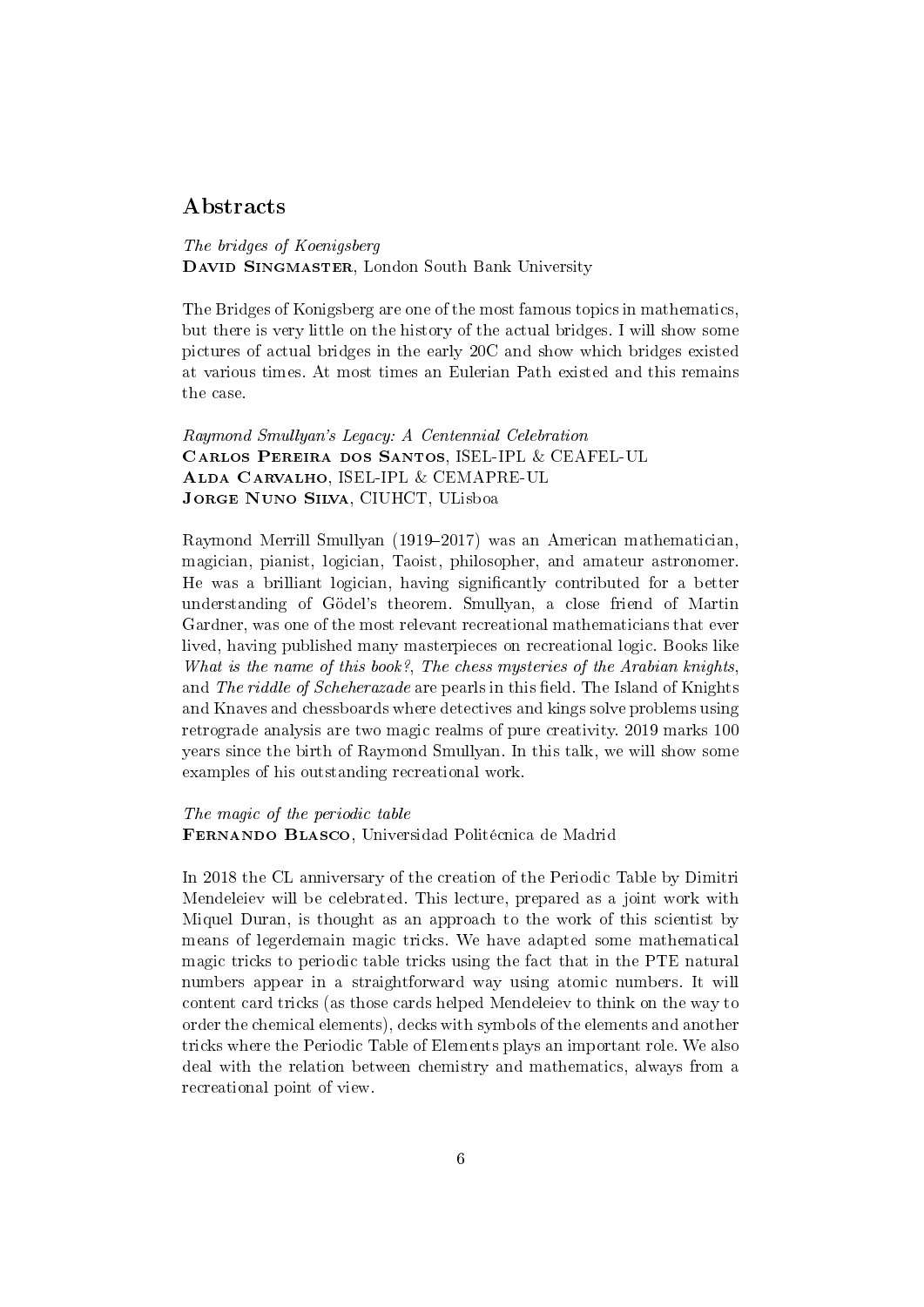# Abstracts

The bridges of Koenigsberg DAVID SINGMASTER, London South Bank University

The Bridges of Konigsberg are one of the most famous topics in mathematics, but there is very little on the history of the actual bridges. I will show some pictures of actual bridges in the early 20C and show which bridges existed at various times. At most times an Eulerian Path existed and this remains the case.

Raymond Smullyan's Legacy: A Centennial Celebration Carlos Pereira dos Santos, ISEL-IPL & CEAFEL-UL Alda Carvalho, ISEL-IPL & CEMAPRE-UL Jorge Nuno Silva, CIUHCT, ULisboa

Raymond Merrill Smullyan (1919–2017) was an American mathematician. magician, pianist, logician, Taoist, philosopher, and amateur astronomer. He was a brilliant logician, having signicantly contributed for a better understanding of Gödel's theorem. Smullyan, a close friend of Martin Gardner, was one of the most relevant recreational mathematicians that ever lived, having published many masterpieces on recreational logic. Books like What is the name of this book?, The chess mysteries of the Arabian knights, and The riddle of Scheherazade are pearls in this field. The Island of Knights and Knaves and chessboards where detectives and kings solve problems using retrograde analysis are two magic realms of pure creativity. 2019 marks 100 years since the birth of Raymond Smullyan. In this talk, we will show some examples of his outstanding recreational work.

The magic of the periodic table

Fernando Blasco, Universidad Politécnica de Madrid

In 2018 the CL anniversary of the creation of the Periodic Table by Dimitri Mendeleiev will be celebrated. This lecture, prepared as a joint work with Miquel Duran, is thought as an approach to the work of this scientist by means of legerdemain magic tricks. We have adapted some mathematical magic tricks to periodic table tricks using the fact that in the PTE natural numbers appear in a straightforward way using atomic numbers. It will content card tricks (as those cards helped Mendeleiev to think on the way to order the chemical elements), decks with symbols of the elements and another tricks where the Periodic Table of Elements plays an important role. We also deal with the relation between chemistry and mathematics, always from a recreational point of view.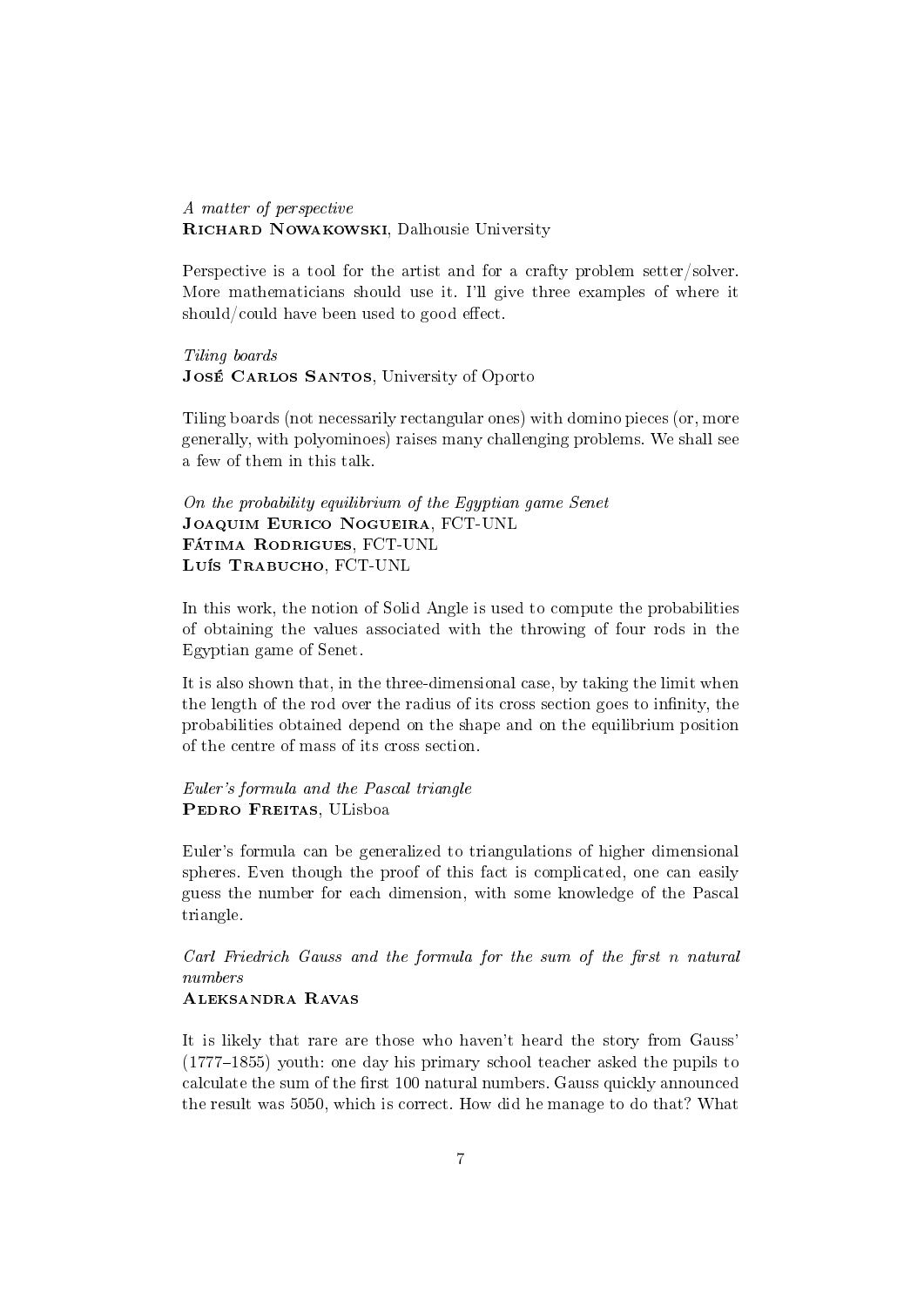A matter of perspective RICHARD NOWAKOWSKI, Dalhousie University

Perspective is a tool for the artist and for a crafty problem setter/solver. More mathematicians should use it. I'll give three examples of where it should/could have been used to good effect.

Tiling boards JOSÉ CARLOS SANTOS, University of Oporto

Tiling boards (not necessarily rectangular ones) with domino pieces (or, more generally, with polyominoes) raises many challenging problems. We shall see a few of them in this talk.

On the probability equilibrium of the Egyptian game Senet Joaquim Eurico Nogueira, FCT-UNL Fátima Rodrigues, FCT-UNL Luís Trabucho, FCT-UNL

In this work, the notion of Solid Angle is used to compute the probabilities of obtaining the values associated with the throwing of four rods in the Egyptian game of Senet.

It is also shown that, in the three-dimensional case, by taking the limit when the length of the rod over the radius of its cross section goes to infinity, the probabilities obtained depend on the shape and on the equilibrium position of the centre of mass of its cross section.

Euler's formula and the Pascal triangle PEDRO FREITAS, ULisboa

Euler's formula can be generalized to triangulations of higher dimensional spheres. Even though the proof of this fact is complicated, one can easily guess the number for each dimension, with some knowledge of the Pascal triangle.

Carl Friedrich Gauss and the formula for the sum of the first  $n$  natural numbers

### Aleksandra Ravas

It is likely that rare are those who haven't heard the story from Gauss'  $(1777-1855)$  youth: one day his primary school teacher asked the pupils to calculate the sum of the first 100 natural numbers. Gauss quickly announced the result was 5050, which is correct. How did he manage to do that? What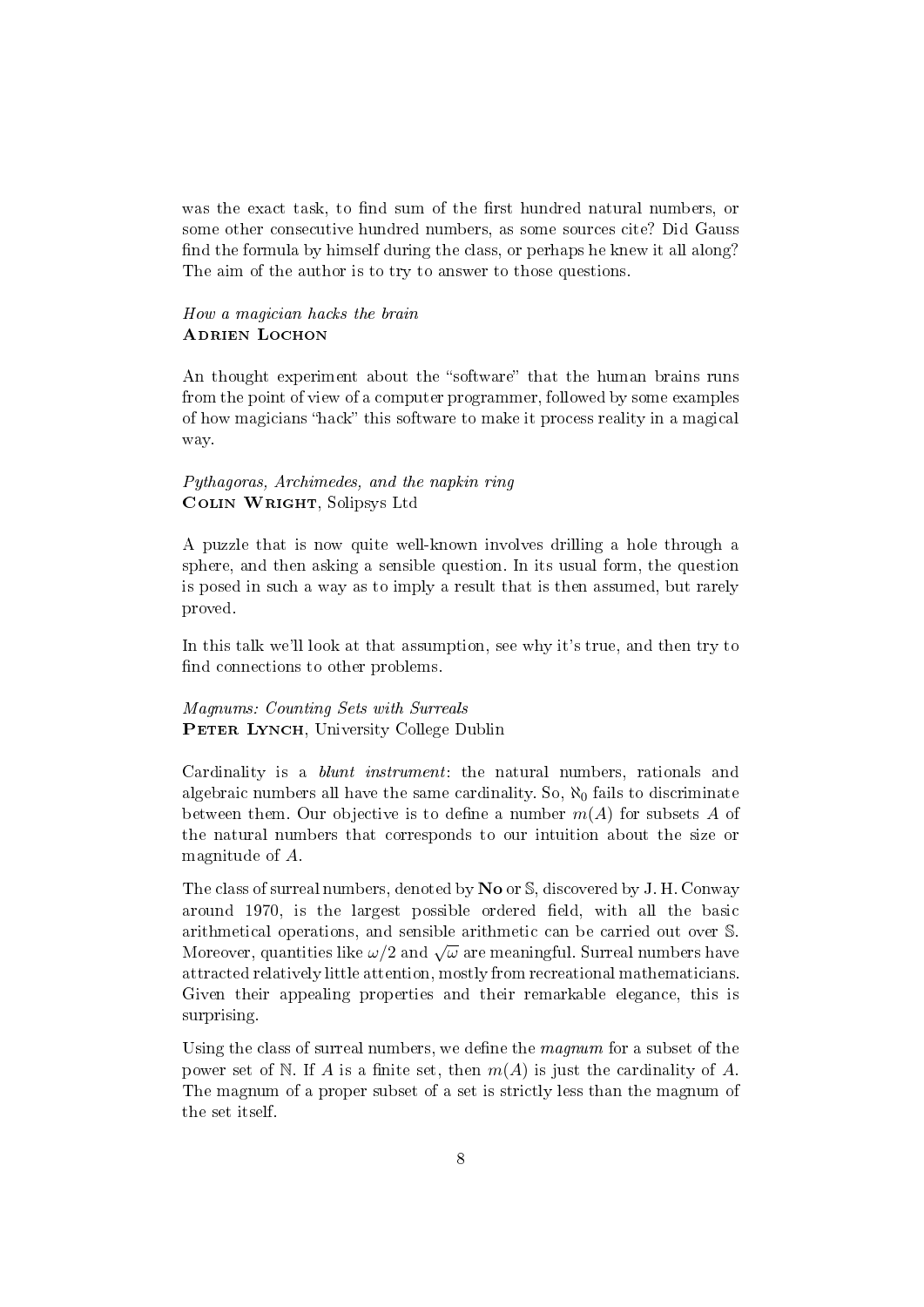was the exact task, to find sum of the first hundred natural numbers, or some other consecutive hundred numbers, as some sources cite? Did Gauss find the formula by himself during the class, or perhaps he knew it all along? The aim of the author is to try to answer to those questions.

#### How a magician hacks the brain **ADRIEN LOCHON**

An thought experiment about the "software" that the human brains runs from the point of view of a computer programmer, followed by some examples of how magicians "hack" this software to make it process reality in a magical way.

#### Pythagoras, Archimedes, and the napkin ring Colin Wright, Solipsys Ltd

A puzzle that is now quite well-known involves drilling a hole through a sphere, and then asking a sensible question. In its usual form, the question is posed in such a way as to imply a result that is then assumed, but rarely proved.

In this talk we'll look at that assumption, see why it's true, and then try to find connections to other problems.

#### Magnums: Counting Sets with Surreals PETER LYNCH, University College Dublin

Cardinality is a blunt instrument: the natural numbers, rationals and algebraic numbers all have the same cardinality. So,  $\aleph_0$  fails to discriminate between them. Our objective is to define a number  $m(A)$  for subsets A of the natural numbers that corresponds to our intuition about the size or magnitude of A.

The class of surreal numbers, denoted by No or S, discovered by J. H. Conway around 1970, is the largest possible ordered field, with all the basic arithmetical operations, and sensible arithmetic can be carried out over S. arithmetical operations, and sensible arithmetic can be carried out over S.<br>Moreover, quantities like  $\omega/2$  and  $\sqrt{\omega}$  are meaningful. Surreal numbers have attracted relatively little attention, mostly from recreational mathematicians. Given their appealing properties and their remarkable elegance, this is surprising.

Using the class of surreal numbers, we define the *magnum* for a subset of the power set of N. If A is a finite set, then  $m(A)$  is just the cardinality of A. The magnum of a proper subset of a set is strictly less than the magnum of the set itself.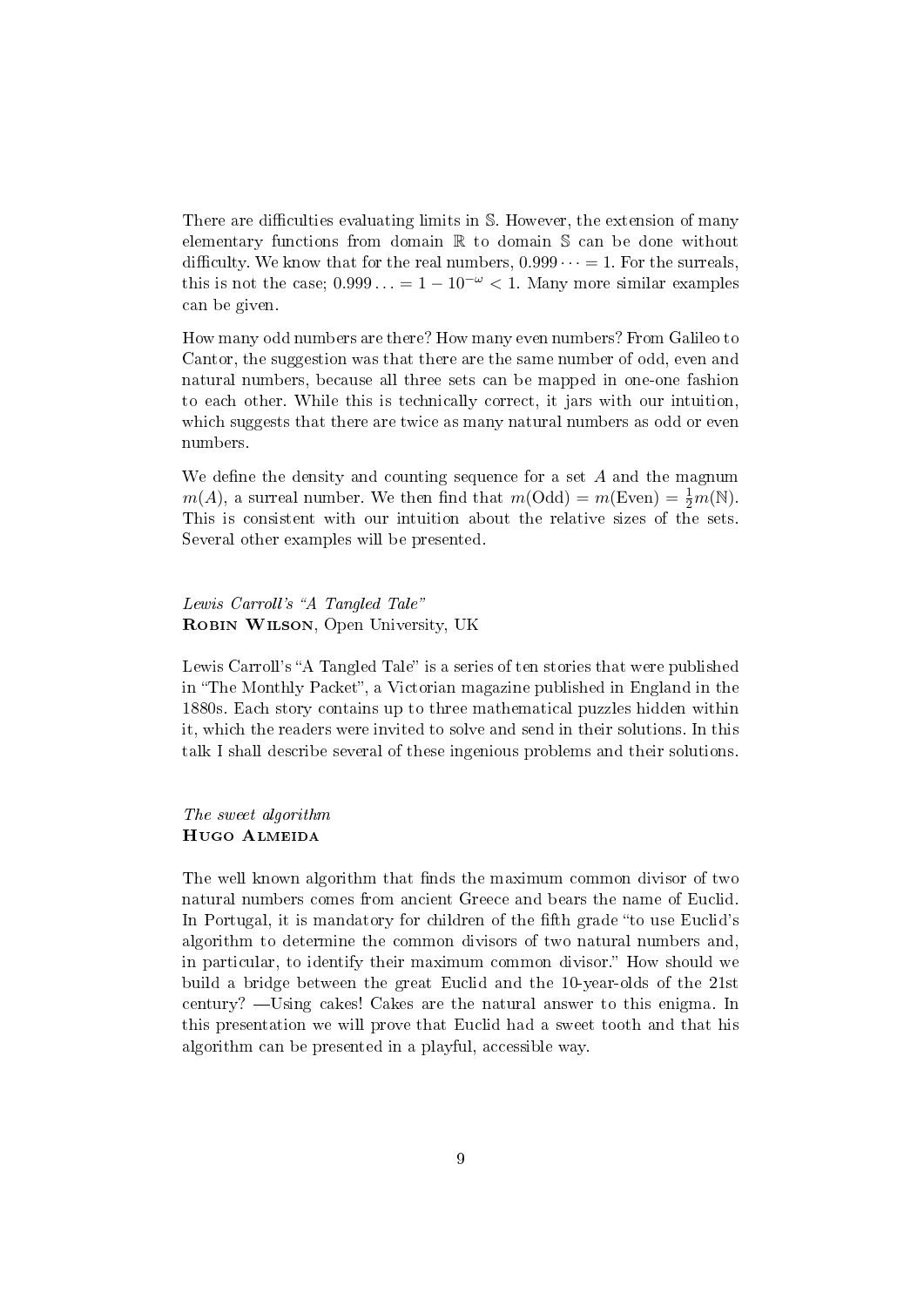There are difficulties evaluating limits in  $S$ . However, the extension of many elementary functions from domain R to domain S can be done without difficulty. We know that for the real numbers,  $0.999 \cdots = 1$ . For the surreals, this is not the case;  $0.999... = 1 - 10^{-\omega} < 1$ . Many more similar examples can be given.

How many odd numbers are there? How many even numbers? From Galileo to Cantor, the suggestion was that there are the same number of odd, even and natural numbers, because all three sets can be mapped in one-one fashion to each other. While this is technically correct, it jars with our intuition, which suggests that there are twice as many natural numbers as odd or even numbers.

We define the density and counting sequence for a set  $A$  and the magnum  $m(A)$ , a surreal number. We then find that  $m(\text{Odd}) = m(\text{Even}) = \frac{1}{2}m(\mathbb{N})$ . This is consistent with our intuition about the relative sizes of the sets. Several other examples will be presented.

# Lewis Carroll's "A Tangled Tale" ROBIN WILSON, Open University, UK

Lewis Carroll's "A Tangled Tale" is a series of ten stories that were published in "The Monthly Packet", a Victorian magazine published in England in the 1880s. Each story contains up to three mathematical puzzles hidden within it, which the readers were invited to solve and send in their solutions. In this talk I shall describe several of these ingenious problems and their solutions.

#### The sweet algorithm Hugo Almeida

The well known algorithm that finds the maximum common divisor of two natural numbers comes from ancient Greece and bears the name of Euclid. In Portugal, it is mandatory for children of the fifth grade "to use Euclid's algorithm to determine the common divisors of two natural numbers and, in particular, to identify their maximum common divisor." How should we build a bridge between the great Euclid and the 10-year-olds of the 21st century? —Using cakes! Cakes are the natural answer to this enigma. In this presentation we will prove that Euclid had a sweet tooth and that his algorithm can be presented in a playful, accessible way.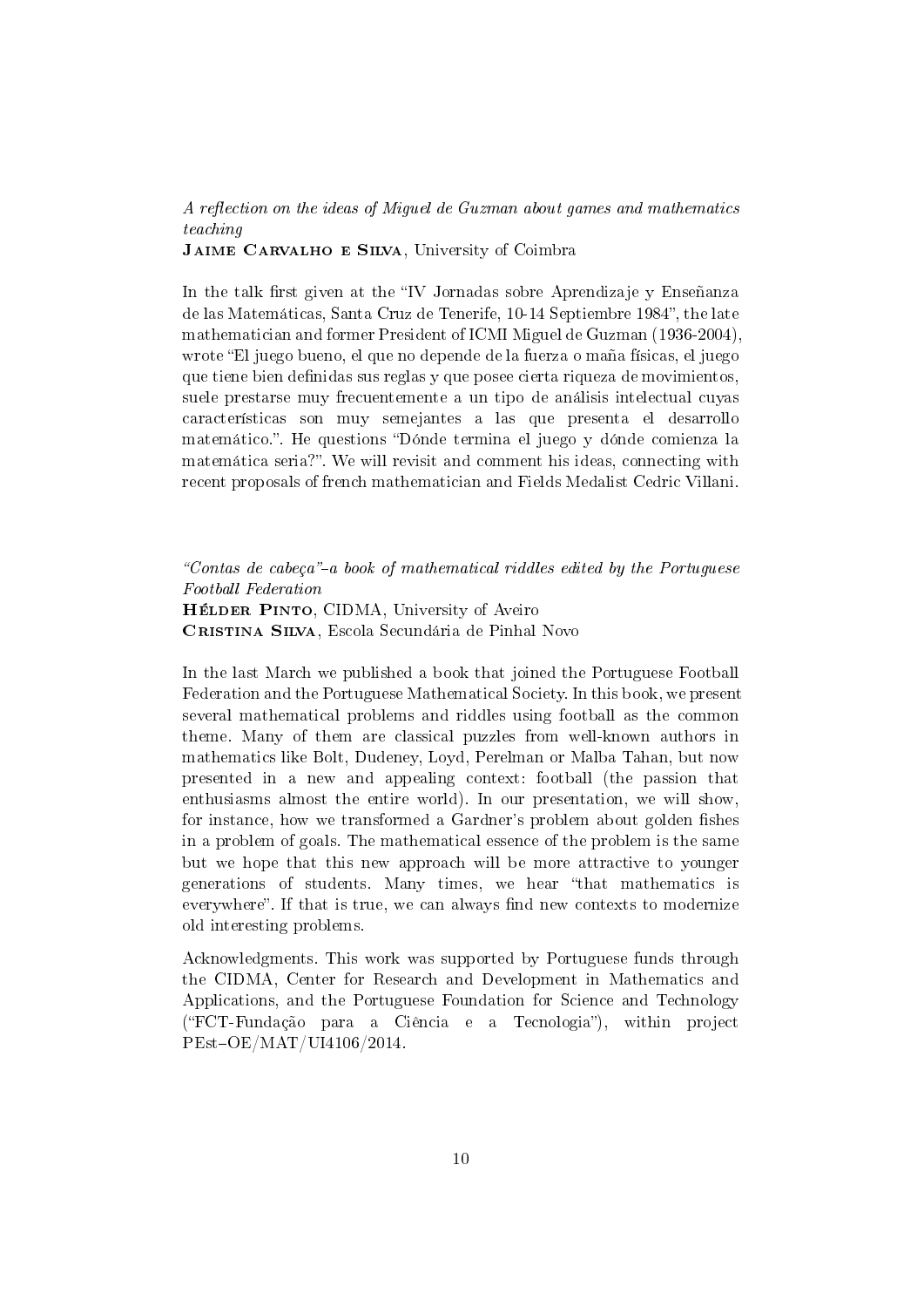A reflection on the ideas of Miquel de Guzman about games and mathematics teaching

JAIME CARVALHO E SILVA, University of Coimbra

In the talk first given at the "IV Jornadas sobre Aprendizaje y Enseñanza de las Matemáticas, Santa Cruz de Tenerife, 10-14 Septiembre 1984", the late mathematician and former President of ICMI Miguel de Guzman (1936-2004), wrote El juego bueno, el que no depende de la fuerza o maña físicas, el juego que tiene bien definidas sus reglas y que posee cierta riqueza de movimientos, suele prestarse muy frecuentemente a un tipo de análisis intelectual cuyas características son muy semejantes a las que presenta el desarrollo matemático.". He questions "Dónde termina el juego y dónde comienza la matemática seria?". We will revisit and comment his ideas, connecting with recent proposals of french mathematician and Fields Medalist Cedric Villani.

"Contas de cabeça"-a book of mathematical riddles edited by the Portuguese Football Federation

HÉLDER PINTO, CIDMA, University of Aveiro Cristina Silva, Escola Secundária de Pinhal Novo

In the last March we published a book that joined the Portuguese Football Federation and the Portuguese Mathematical Society. In this book, we present several mathematical problems and riddles using football as the common theme. Many of them are classical puzzles from well-known authors in mathematics like Bolt, Dudeney, Loyd, Perelman or Malba Tahan, but now presented in a new and appealing context: football (the passion that enthusiasms almost the entire world). In our presentation, we will show, for instance, how we transformed a Gardner's problem about golden fishes in a problem of goals. The mathematical essence of the problem is the same but we hope that this new approach will be more attractive to younger generations of students. Many times, we hear that mathematics is everywhere". If that is true, we can always find new contexts to modernize old interesting problems.

Acknowledgments. This work was supported by Portuguese funds through the CIDMA, Center for Research and Development in Mathematics and Applications, and the Portuguese Foundation for Science and Technology (FCT-Fundação para a Ciência e a Tecnologia), within project  $PEst-OE/MAT/UI4106/2014$ .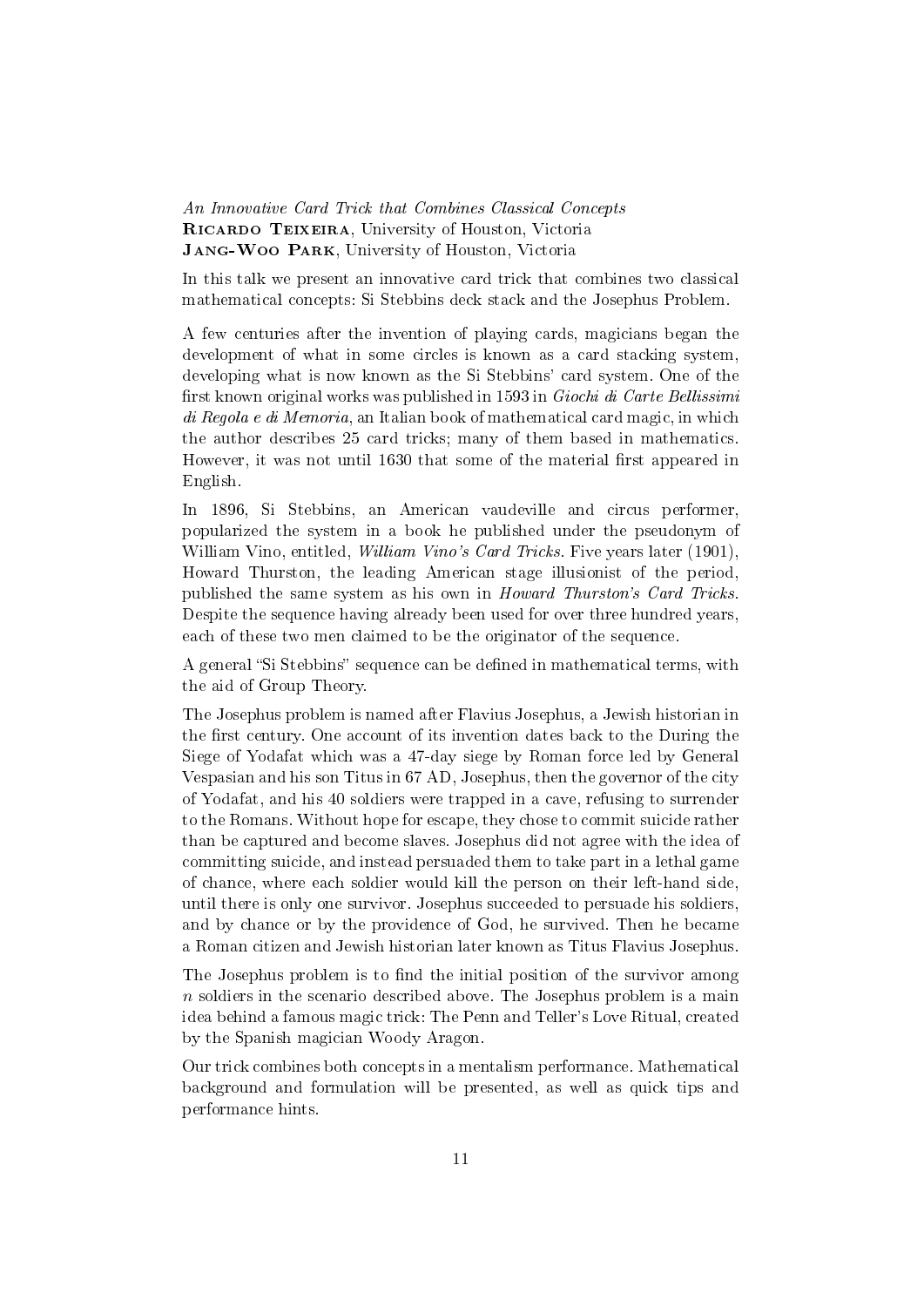An Innovative Card Trick that Combines Classical Concepts RICARDO TEIXEIRA, University of Houston, Victoria Jang-Woo Park, University of Houston, Victoria

In this talk we present an innovative card trick that combines two classical mathematical concepts: Si Stebbins deck stack and the Josephus Problem.

A few centuries after the invention of playing cards, magicians began the development of what in some circles is known as a card stacking system, developing what is now known as the Si Stebbins' card system. One of the first known original works was published in 1593 in Giochi di Carte Bellissimi di Regola e di Memoria, an Italian book of mathematical card magic, in which the author describes 25 card tricks; many of them based in mathematics. However, it was not until 1630 that some of the material first appeared in English.

In 1896, Si Stebbins, an American vaudeville and circus performer, popularized the system in a book he published under the pseudonym of William Vino, entitled, *William Vino's Card Tricks*. Five years later (1901), Howard Thurston, the leading American stage illusionist of the period, published the same system as his own in Howard Thurston's Card Tricks. Despite the sequence having already been used for over three hundred years, each of these two men claimed to be the originator of the sequence.

A general "Si Stebbins" sequence can be defined in mathematical terms, with the aid of Group Theory.

The Josephus problem is named after Flavius Josephus, a Jewish historian in the first century. One account of its invention dates back to the During the Siege of Yodafat which was a 47-day siege by Roman force led by General Vespasian and his son Titus in 67 AD, Josephus, then the governor of the city of Yodafat, and his 40 soldiers were trapped in a cave, refusing to surrender to the Romans. Without hope for escape, they chose to commit suicide rather than be captured and become slaves. Josephus did not agree with the idea of committing suicide, and instead persuaded them to take part in a lethal game of chance, where each soldier would kill the person on their left-hand side, until there is only one survivor. Josephus succeeded to persuade his soldiers, and by chance or by the providence of God, he survived. Then he became a Roman citizen and Jewish historian later known as Titus Flavius Josephus.

The Josephus problem is to find the initial position of the survivor among  $n$  soldiers in the scenario described above. The Josephus problem is a main idea behind a famous magic trick: The Penn and Teller's Love Ritual, created by the Spanish magician Woody Aragon.

Our trick combines both concepts in a mentalism performance. Mathematical background and formulation will be presented, as well as quick tips and performance hints.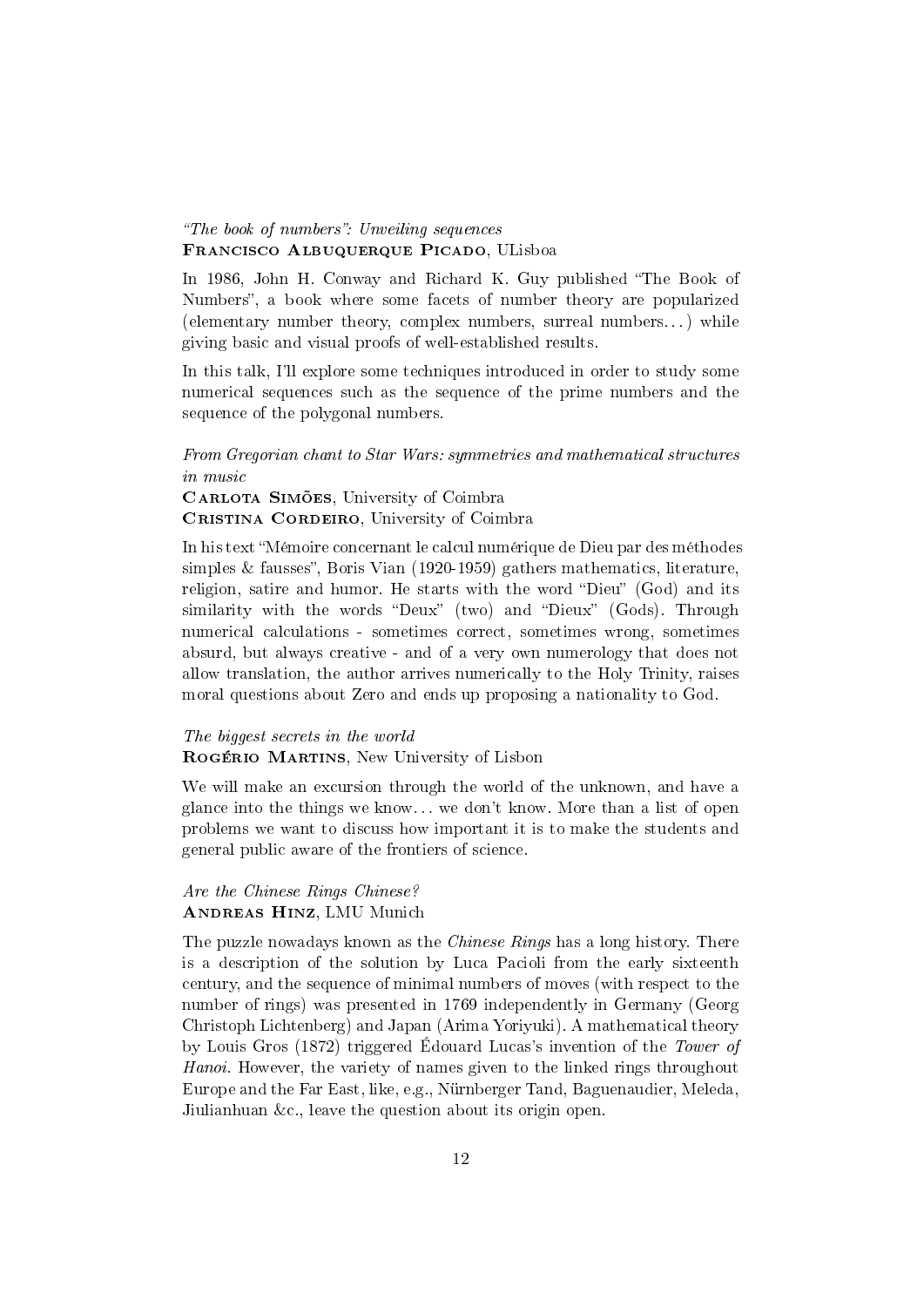#### "The book of numbers": Unveiling sequences Francisco Albuquerque Picado, ULisboa

In 1986, John H. Conway and Richard K. Guy published "The Book of Numbers", a book where some facets of number theory are popularized (elementary number theory, complex numbers, surreal numbers. . . ) while giving basic and visual proofs of well-established results.

In this talk, I'll explore some techniques introduced in order to study some numerical sequences such as the sequence of the prime numbers and the sequence of the polygonal numbers.

#### From Gregorian chant to Star Wars: symmetries and mathematical structures in music

CARLOTA SIMÕES, University of Coimbra CRISTINA CORDEIRO, University of Coimbra

In his text Mémoire concernant le calcul numérique de Dieu par des méthodes simples  $&$  fausses", Boris Vian (1920-1959) gathers mathematics, literature, religion, satire and humor. He starts with the word "Dieu" (God) and its similarity with the words "Deux" (two) and "Dieux" (Gods). Through numerical calculations - sometimes correct, sometimes wrong, sometimes absurd, but always creative - and of a very own numerology that does not allow translation, the author arrives numerically to the Holy Trinity, raises moral questions about Zero and ends up proposing a nationality to God.

#### The biggest secrets in the world

Rogério Martins, New University of Lisbon

We will make an excursion through the world of the unknown, and have a glance into the things we know... we don't know. More than a list of open problems we want to discuss how important it is to make the students and general public aware of the frontiers of science.

#### Are the Chinese Rings Chinese? ANDREAS HINZ, LMU Munich

The puzzle nowadays known as the *Chinese Rings* has a long history. There is a description of the solution by Luca Pacioli from the early sixteenth century, and the sequence of minimal numbers of moves (with respect to the number of rings) was presented in 1769 independently in Germany (Georg Christoph Lichtenberg) and Japan (Arima Yoriyuki). A mathematical theory by Louis Gros (1872) triggered Édouard Lucas's invention of the Tower of Hanoi. However, the variety of names given to the linked rings throughout Europe and the Far East, like, e.g., Nürnberger Tand, Baguenaudier, Meleda, Jiulianhuan &c., leave the question about its origin open.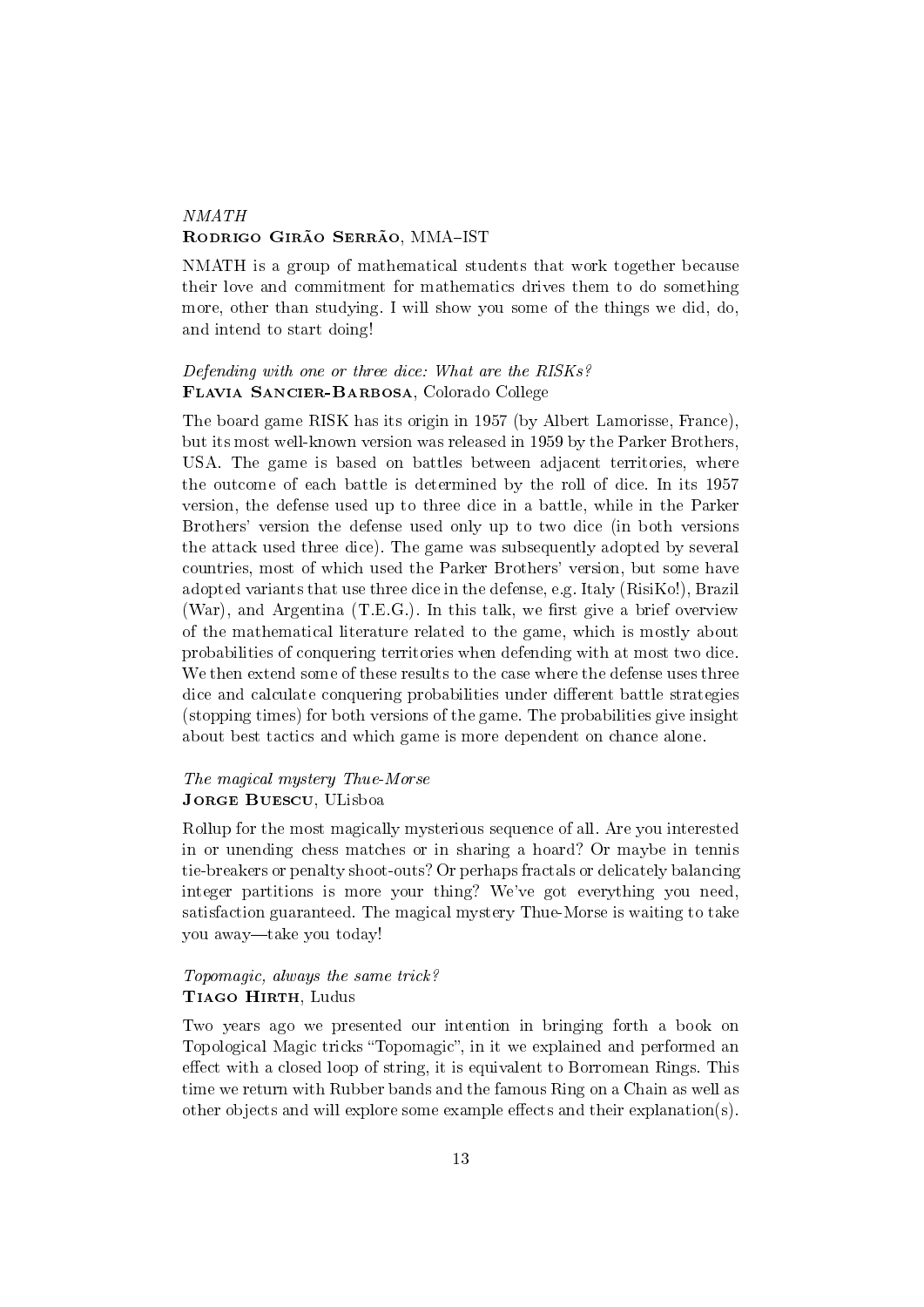# **NMATH** RODRIGO GIRÃO SERRÃO, MMA-IST

NMATH is a group of mathematical students that work together because their love and commitment for mathematics drives them to do something more, other than studying. I will show you some of the things we did, do, and intend to start doing!

#### Defending with one or three dice: What are the RISKs? Flavia Sancier-Barbosa, Colorado College

The board game RISK has its origin in 1957 (by Albert Lamorisse, France), but its most well-known version was released in 1959 by the Parker Brothers, USA. The game is based on battles between adjacent territories, where the outcome of each battle is determined by the roll of dice. In its 1957 version, the defense used up to three dice in a battle, while in the Parker Brothers' version the defense used only up to two dice (in both versions the attack used three dice). The game was subsequently adopted by several countries, most of which used the Parker Brothers' version, but some have adopted variants that use three dice in the defense, e.g. Italy (RisiKo!), Brazil (War), and Argentina  $(T.E.G.)$ . In this talk, we first give a brief overview of the mathematical literature related to the game, which is mostly about probabilities of conquering territories when defending with at most two dice. We then extend some of these results to the case where the defense uses three dice and calculate conquering probabilities under different battle strategies (stopping times) for both versions of the game. The probabilities give insight about best tactics and which game is more dependent on chance alone.

#### The magical mystery Thue-Morse JORGE BUESCU, ULisboa

Rollup for the most magically mysterious sequence of all. Are you interested in or unending chess matches or in sharing a hoard? Or maybe in tennis tie-breakers or penalty shoot-outs? Or perhaps fractals or delicately balancing integer partitions is more your thing? We've got everything you need, satisfaction guaranteed. The magical mystery Thue-Morse is waiting to take you away—take you today!

#### Topomagic, always the same trick? TIAGO HIRTH, Ludus

Two years ago we presented our intention in bringing forth a book on Topological Magic tricks "Topomagic", in it we explained and performed an effect with a closed loop of string, it is equivalent to Borromean Rings. This time we return with Rubber bands and the famous Ring on a Chain as well as other objects and will explore some example effects and their explanation(s).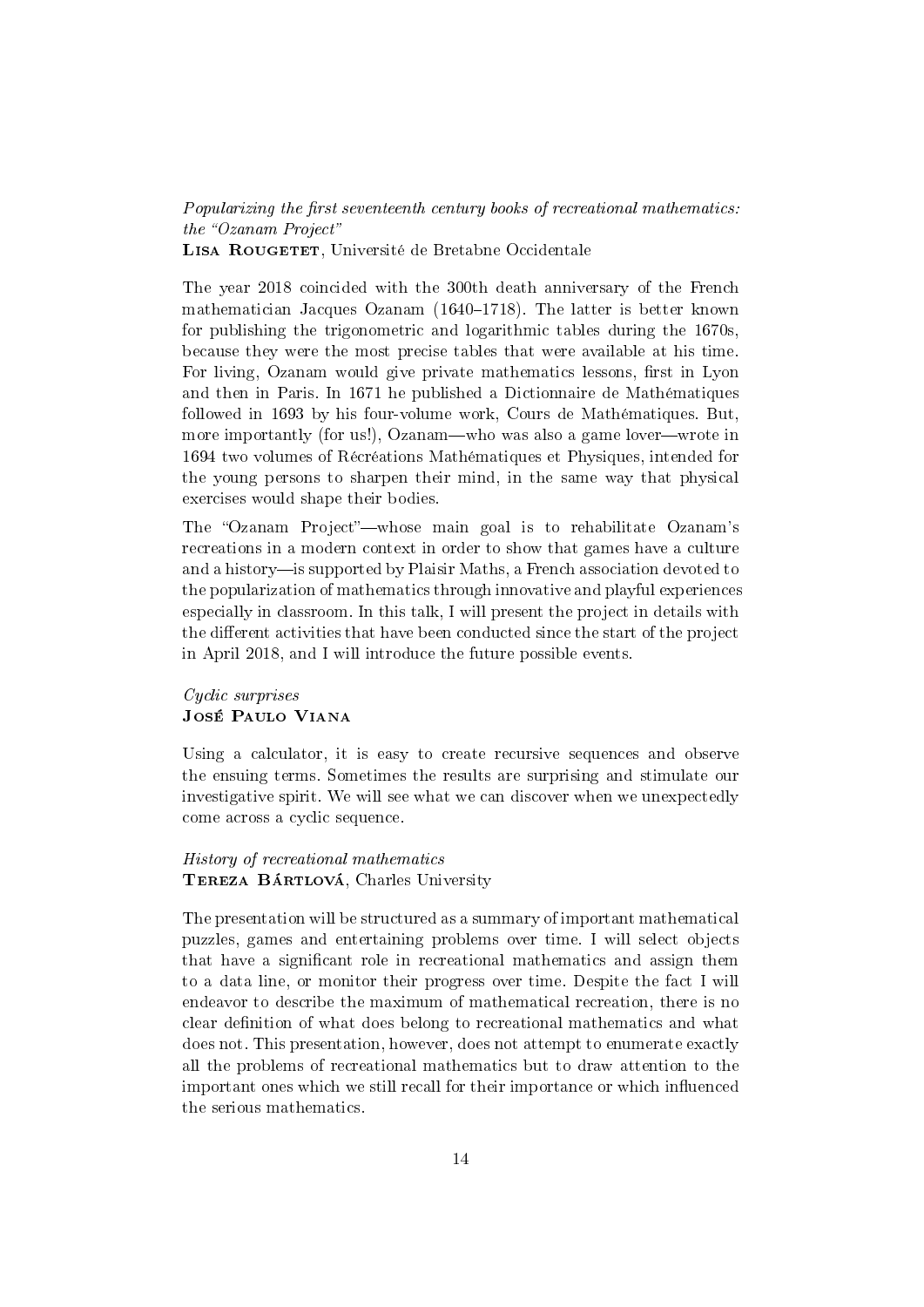Popularizing the first seventeenth century books of recreational mathematics:  $the$  "Ozanam Project" LISA ROUGETET, Université de Bretabne Occidentale

The year 2018 coincided with the 300th death anniversary of the French mathematician Jacques Ozanam  $(1640-1718)$ . The latter is better known for publishing the trigonometric and logarithmic tables during the 1670s, because they were the most precise tables that were available at his time. For living, Ozanam would give private mathematics lessons, first in Lyon and then in Paris. In 1671 he published a Dictionnaire de Mathématiques followed in 1693 by his four-volume work, Cours de Mathématiques. But, more importantly (for us!), Ozanam—who was also a game lover—wrote in 1694 two volumes of Récréations Mathématiques et Physiques, intended for the young persons to sharpen their mind, in the same way that physical exercises would shape their bodies.

The "Ozanam Project"—whose main goal is to rehabilitate Ozanam's recreations in a modern context in order to show that games have a culture and a history—is supported by Plaisir Maths, a French association devoted to the popularization of mathematics through innovative and playful experiences especially in classroom. In this talk, I will present the project in details with the different activities that have been conducted since the start of the project in April 2018, and I will introduce the future possible events.

#### Cyclic surprises José Paulo Viana

Using a calculator, it is easy to create recursive sequences and observe the ensuing terms. Sometimes the results are surprising and stimulate our investigative spirit. We will see what we can discover when we unexpectedly come across a cyclic sequence.

#### History of recreational mathematics TEREZA BÁRTLOVÁ, Charles University

The presentation will be structured as a summary of important mathematical puzzles, games and entertaining problems over time. I will select objects that have a significant role in recreational mathematics and assign them to a data line, or monitor their progress over time. Despite the fact I will endeavor to describe the maximum of mathematical recreation, there is no clear definition of what does belong to recreational mathematics and what does not. This presentation, however, does not attempt to enumerate exactly all the problems of recreational mathematics but to draw attention to the important ones which we still recall for their importance or which influenced the serious mathematics.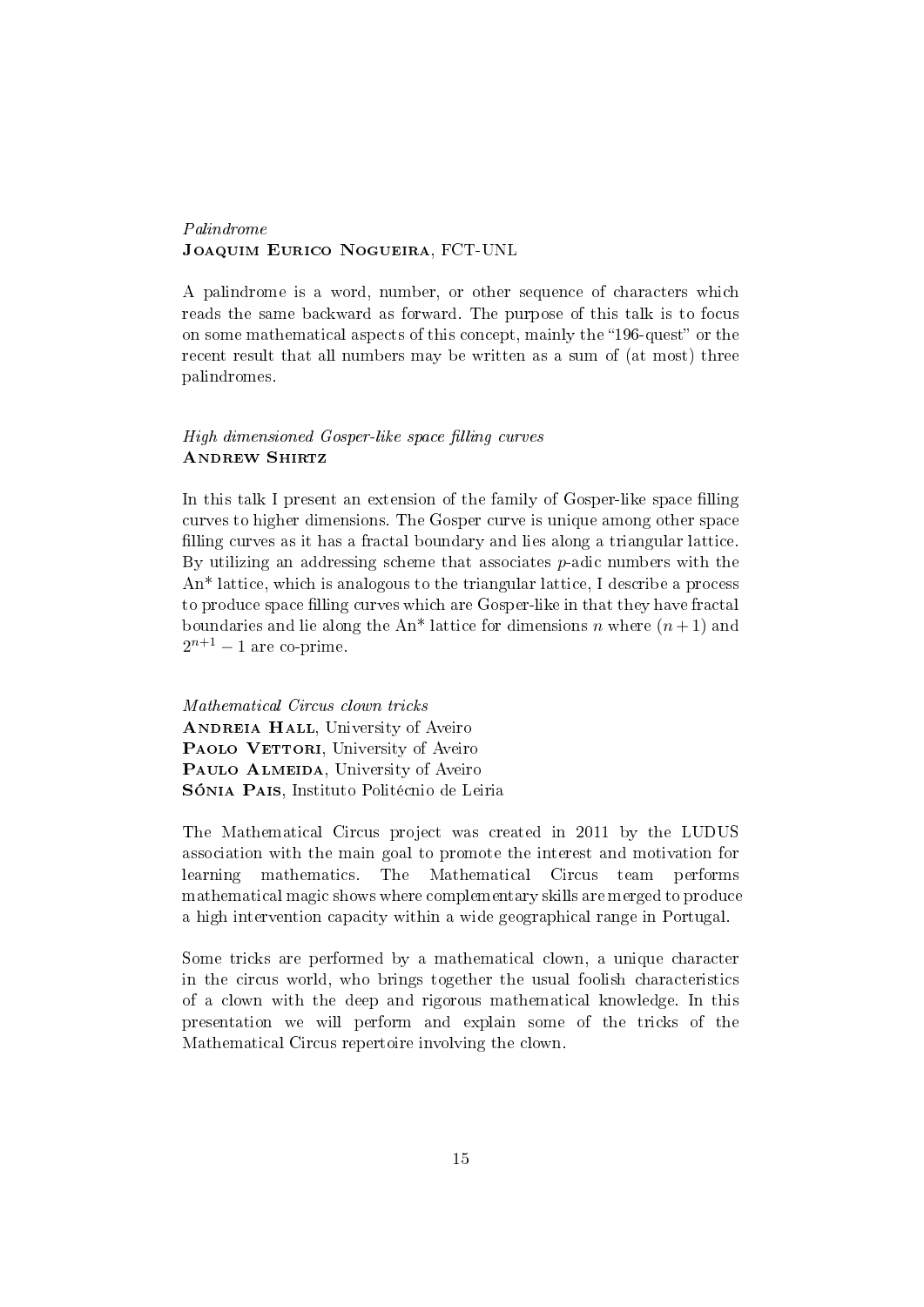#### Palindrome Joaquim Eurico Nogueira, FCT-UNL

A palindrome is a word, number, or other sequence of characters which reads the same backward as forward. The purpose of this talk is to focus on some mathematical aspects of this concept, mainly the "196-quest" or the recent result that all numbers may be written as a sum of (at most) three palindromes.

#### High dimensioned Gosper-like space filling curves **ANDREW SHIRTZ**

In this talk I present an extension of the family of Gosper-like space filling curves to higher dimensions. The Gosper curve is unique among other space filling curves as it has a fractal boundary and lies along a triangular lattice. By utilizing an addressing scheme that associates  $p$ -adic numbers with the An\* lattice, which is analogous to the triangular lattice, I describe a process to produce space filling curves which are Gosper-like in that they have fractal boundaries and lie along the An<sup>\*</sup> lattice for dimensions n where  $(n+1)$  and  $2^{n+1} - 1$  are co-prime.

Mathematical Circus clown tricks ANDREIA HALL, University of Aveiro PAOLO VETTORI, University of Aveiro PAULO ALMEIDA, University of Aveiro Sónia Pais, Instituto Politécnio de Leiria

The Mathematical Circus project was created in 2011 by the LUDUS association with the main goal to promote the interest and motivation for learning mathematics. The Mathematical Circus team performs mathematical magic shows where complementary skills are merged to produce a high intervention capacity within a wide geographical range in Portugal.

Some tricks are performed by a mathematical clown, a unique character in the circus world, who brings together the usual foolish characteristics of a clown with the deep and rigorous mathematical knowledge. In this presentation we will perform and explain some of the tricks of the Mathematical Circus repertoire involving the clown.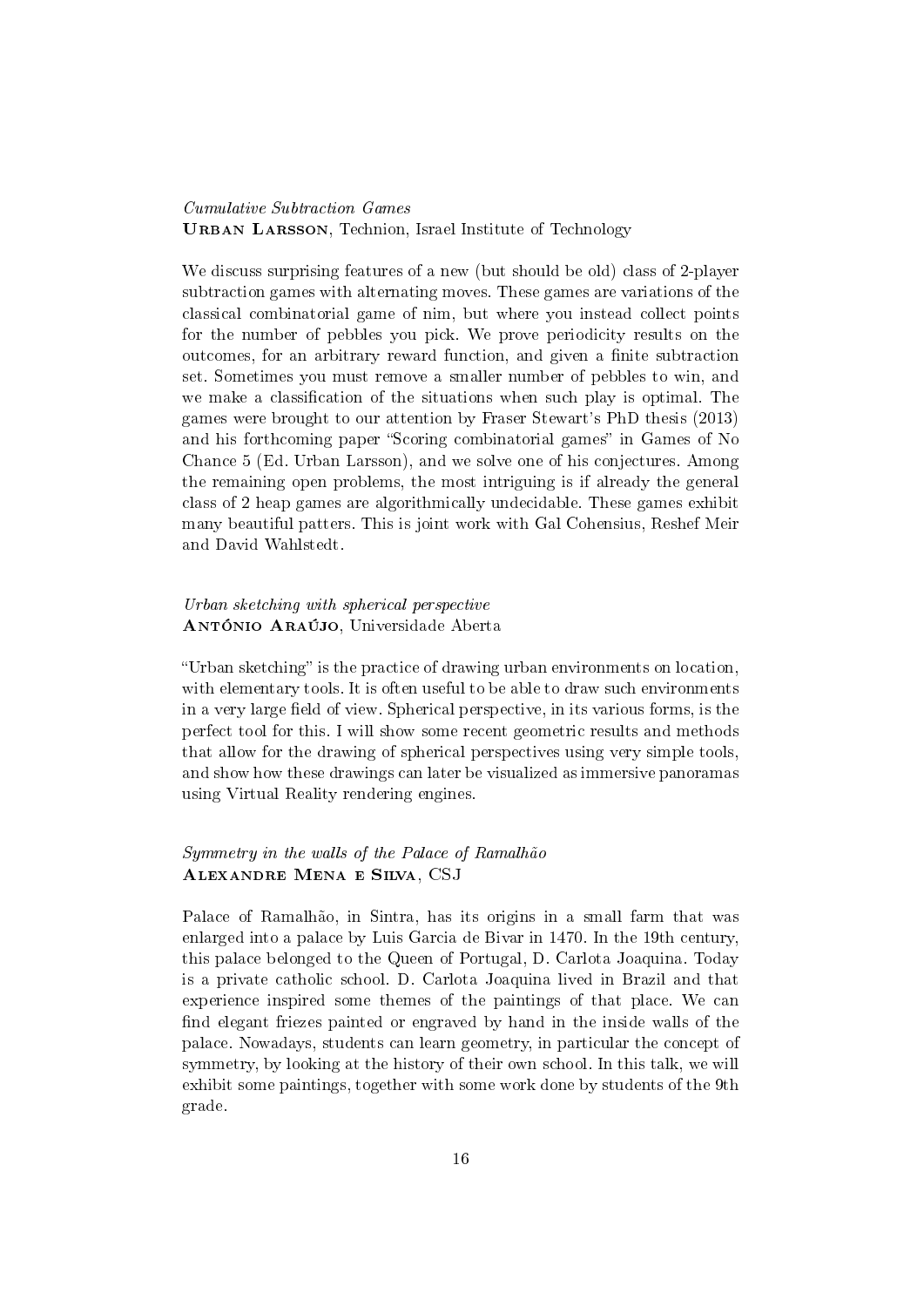#### Cumulative Subtraction Games URBAN LARSSON, Technion, Israel Institute of Technology

We discuss surprising features of a new (but should be old) class of 2-player subtraction games with alternating moves. These games are variations of the classical combinatorial game of nim, but where you instead collect points for the number of pebbles you pick. We prove periodicity results on the outcomes, for an arbitrary reward function, and given a finite subtraction set. Sometimes you must remove a smaller number of pebbles to win, and we make a classification of the situations when such play is optimal. The games were brought to our attention by Fraser Stewart's PhD thesis (2013) and his forthcoming paper "Scoring combinatorial games" in Games of No Chance 5 (Ed. Urban Larsson), and we solve one of his conjectures. Among the remaining open problems, the most intriguing is if already the general class of 2 heap games are algorithmically undecidable. These games exhibit many beautiful patters. This is joint work with Gal Cohensius, Reshef Meir and David Wahlstedt.

### Urban sketching with spherical perspective António Araújo, Universidade Aberta

"Urban sketching" is the practice of drawing urban environments on location, with elementary tools. It is often useful to be able to draw such environments in a very large field of view. Spherical perspective, in its various forms, is the perfect tool for this. I will show some recent geometric results and methods that allow for the drawing of spherical perspectives using very simple tools, and show how these drawings can later be visualized as immersive panoramas using Virtual Reality rendering engines.

#### Symmetry in the walls of the Palace of Ramalhão Alexandre Mena e Silva, CSJ

Palace of Ramalhão, in Sintra, has its origins in a small farm that was enlarged into a palace by Luis Garcia de Bivar in 1470. In the 19th century, this palace belonged to the Queen of Portugal, D. Carlota Joaquina. Today is a private catholic school. D. Carlota Joaquina lived in Brazil and that experience inspired some themes of the paintings of that place. We can find elegant friezes painted or engraved by hand in the inside walls of the palace. Nowadays, students can learn geometry, in particular the concept of symmetry, by looking at the history of their own school. In this talk, we will exhibit some paintings, together with some work done by students of the 9th grade.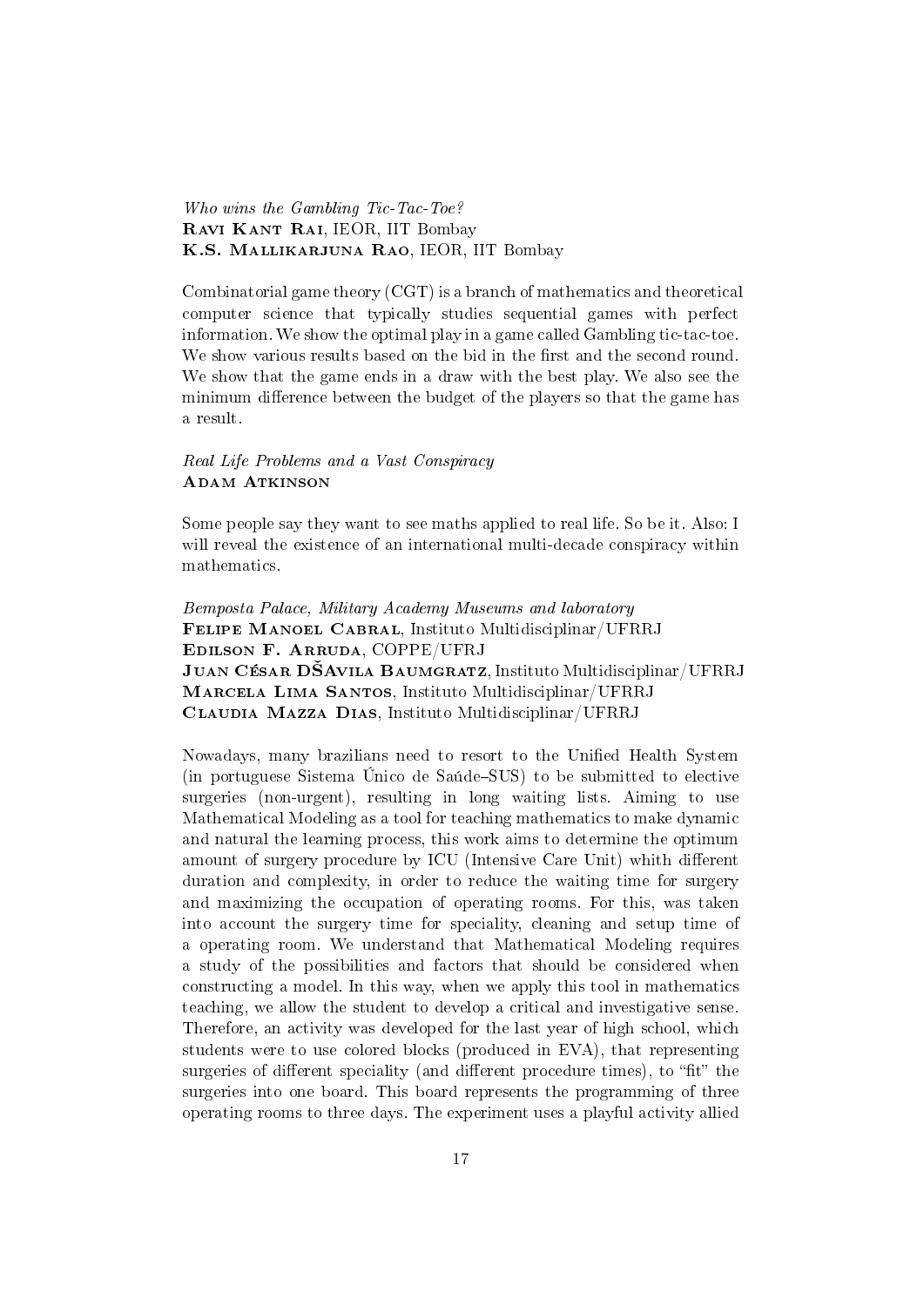Who wins the Gambling Tic-Tac-Toe? Ravi Kant Rai, IEOR, IIT Bombay K.S. Mallikarjuna Rao, IEOR, IIT Bombay

Combinatorial game theory (CGT) is a branch of mathematics and theoretical computer science that typically studies sequential games with perfect information. We show the optimal play in a game called Gambling tic-tac-toe. We show various results based on the bid in the first and the second round. We show that the game ends in a draw with the best play. We also see the minimum difference between the budget of the players so that the game has a result.

#### Real Life Problems and a Vast Conspiracy ADAM ATKINSON

Some people say they want to see maths applied to real life. So be it. Also: I will reveal the existence of an international multi-decade conspiracy within mathematics.

Bemposta Palace, Military Academy Museums and laboratory Felipe Manoel Cabral, Instituto Multidisciplinar/UFRRJ Edilson F. Arruda, COPPE/UFRJ JUAN CÉSAR DŠAVILA BAUMGRATZ, Instituto Multidisciplinar/UFRRJ Marcela Lima Santos, Instituto Multidisciplinar/UFRRJ Claudia Mazza Dias, Instituto Multidisciplinar/UFRRJ

Nowadays, many brazilians need to resort to the Unified Health System (in portuguese Sistema Único de Saúde–SUS) to be submitted to elective surgeries (non-urgent), resulting in long waiting lists. Aiming to use Mathematical Modeling as a tool for teaching mathematics to make dynamic and natural the learning process, this work aims to determine the optimum amount of surgery procedure by ICU (Intensive Care Unit) whith different duration and complexity, in order to reduce the waiting time for surgery and maximizing the occupation of operating rooms. For this, was taken into account the surgery time for speciality, cleaning and setup time of a operating room. We understand that Mathematical Modeling requires a study of the possibilities and factors that should be considered when constructing a model. In this way, when we apply this tool in mathematics teaching, we allow the student to develop a critical and investigative sense. Therefore, an activity was developed for the last year of high school, which students were to use colored blocks (produced in EVA), that representing surgeries of different speciality (and different procedure times), to "fit" the surgeries into one board. This board represents the programming of three operating rooms to three days. The experiment uses a playful activity allied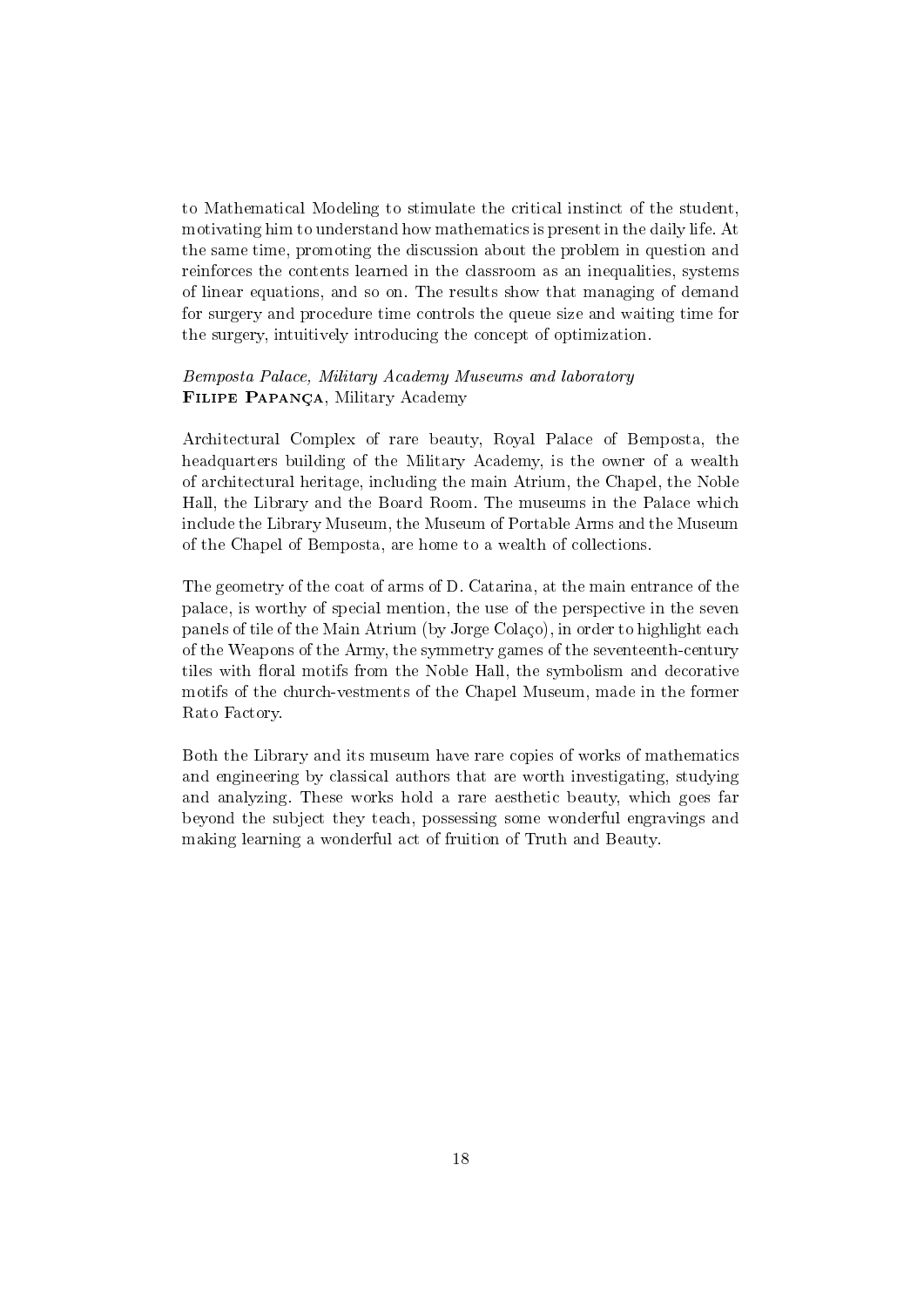to Mathematical Modeling to stimulate the critical instinct of the student, motivating him to understand how mathematics is present in the daily life. At the same time, promoting the discussion about the problem in question and reinforces the contents learned in the classroom as an inequalities, systems of linear equations, and so on. The results show that managing of demand for surgery and procedure time controls the queue size and waiting time for the surgery, intuitively introducing the concept of optimization.

#### Bemposta Palace, Military Academy Museums and laboratory Filipe Papança, Military Academy

Architectural Complex of rare beauty, Royal Palace of Bemposta, the headquarters building of the Military Academy, is the owner of a wealth of architectural heritage, including the main Atrium, the Chapel, the Noble Hall, the Library and the Board Room. The museums in the Palace which include the Library Museum, the Museum of Portable Arms and the Museum of the Chapel of Bemposta, are home to a wealth of collections.

The geometry of the coat of arms of D. Catarina, at the main entrance of the palace, is worthy of special mention, the use of the perspective in the seven panels of tile of the Main Atrium (by Jorge Colaço), in order to highlight each of the Weapons of the Army, the symmetry games of the seventeenth-century tiles with floral motifs from the Noble Hall, the symbolism and decorative motifs of the church-vestments of the Chapel Museum, made in the former Rato Factory.

Both the Library and its museum have rare copies of works of mathematics and engineering by classical authors that are worth investigating, studying and analyzing. These works hold a rare aesthetic beauty, which goes far beyond the subject they teach, possessing some wonderful engravings and making learning a wonderful act of fruition of Truth and Beauty.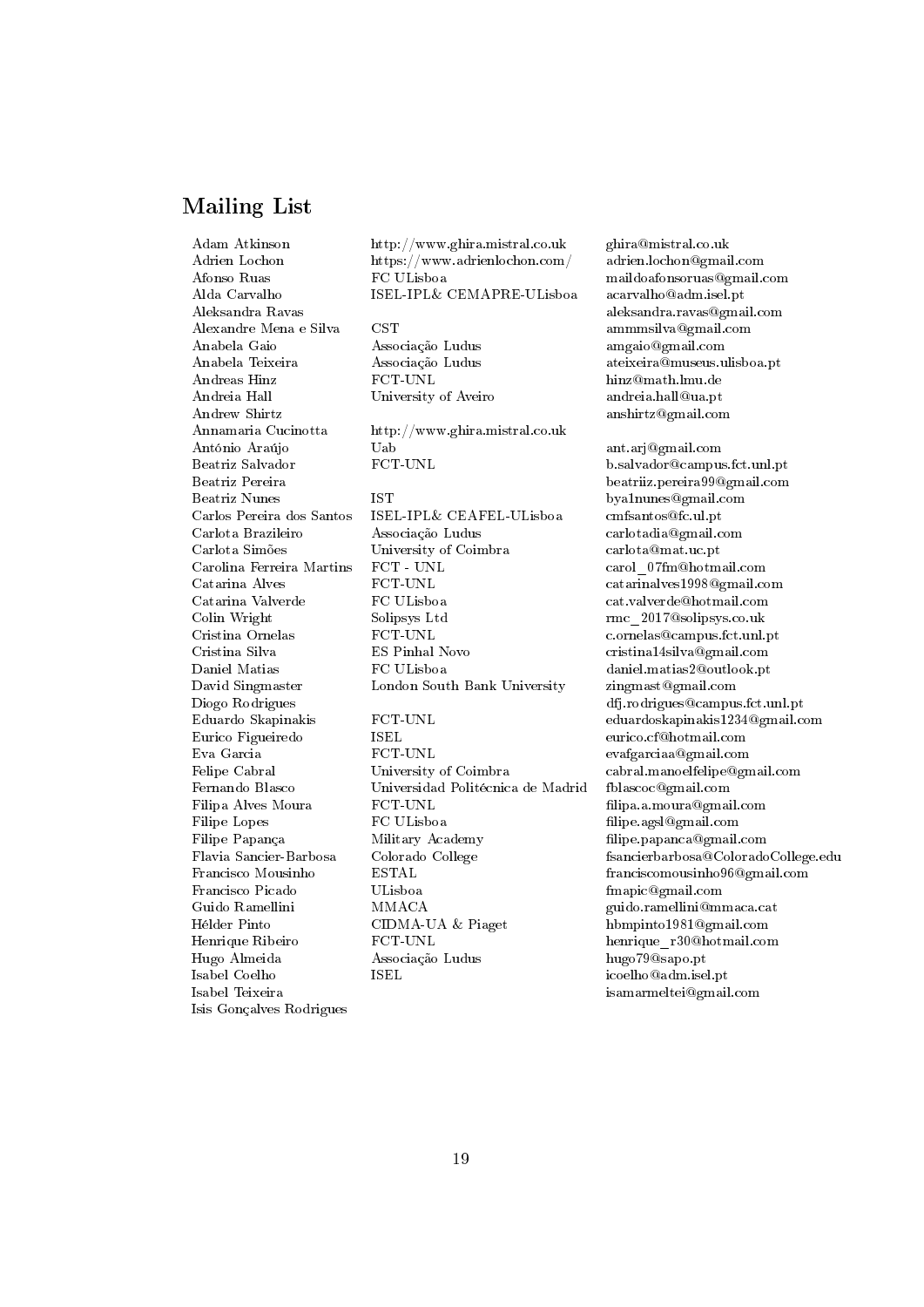# Mailing List

Alexandre Mena e Silva CST ammmsilva@gmail.com Anabela Gaio Associação Ludus amgaio@gmail.com Andreas Hinz FCT-UNL hinz@math.lmu.de Andreia Hall University of Aveiro andreia.hall@ua.pt Andrew Shirtz anshirtz@gmail.com Beatriz Nunes IST bya1nunes@gmail.com Isabel Teixeira isamarmeltei@gmail.com Isis Gonçalves Rodrigues

Adam Atkinson http://www.ghira.mistral.co.uk ghira@mistral.co.uk Adrien Lochon https://www.adrienlochon.com/ adrien.lochon@gmail.com Afonso Ruas FC ULisboa maildoafonsoruas@gmail.com Alda Carvalho ISEL-IPL& CEMAPRE-ULisboa acarvalho@adm.isel.pt

Annamaria Cucinotta http://www.ghira.mistral.co.uk António Araújo Uab ant.arj@gmail.com Beatriz Salvador **FCT-UNL** b.salvador@campus.fct.unl.pt

Carlos Pereira dos Santos ISEL-IPL& CEAFEL-ULisboa cmfsantos@fc.ul.pt Carlota Brazileiro Associação Ludus carlotadia@gmail.com Carlota Simões University of Coimbra carlota@mat.uc.pt Carolina Ferreira Martins FCT - UNL carol\_07fm@hotmail.com Catarina Alves FCT-UNL catarinalves1998@gmail.com Catarina Valverde FC ULisboa cat.valverde@hotmail.com Colin Wright Solipsys Ltd rmc\_2017@solipsys.co.uk Cristina Ornelas FCT-UNL c.ornelas@campus.fct.unl.pt Cristina Silva ES Pinhal Novo cristina14silva@gmail.com Daniel Matias FC ULisboa daniel.matias2@outlook.pt David Singmaster London South Bank University zingmast@gmail.com Diogo Rodrigues dfj.rodrigues@campus.fct.unl.pt Eduardo Skapinakis FCT-UNL eduardoskapinakis1234@gmail.com Eurico Figueiredo ISEL eurico.cf@hotmail.com Eva Garcia FCT-UNL evafgarciaa@gmail.com Felipe Cabral University of Coimbra cabral.manoelfelipe@gmail.com Fernando Blasco Universidad Politécnica de Madrid fblascoc@gmail.com Filipa Alves Moura FCT-UNL lipa.a.moura@gmail.com Filipe Lopes FC ULisboa lipe.agsl@gmail.com Filipe Papança Military Academy lipe.papanca@gmail.com Francisco Mousinho ESTAL franciscomousinho96@gmail.com Francisco Picado ULisboa fmapic@gmail.com Guido Ramellini MMACA guido.ramellini@mmaca.cat Hélder Pinto CIDMA-UA & Piaget hbmpinto1981@gmail.com Henrique Ribeiro FCT-UNL henrique\_r30@hotmail.com Hugo Almeida Associação Ludus hugo79@sapo.pt Isabel Coelho ISEL icoelho@adm.isel.pt

Aleksandra Ravas aleksandra.ravas@gmail.com Anabela Teixeira Associação Ludus ateixeira@museus.ulisboa.pt

Beatriz Pereira beatriiz.pereira99@gmail.com Flavia Sancier-Barbosa Colorado College fsancierbarbosa@ColoradoCollege.edu